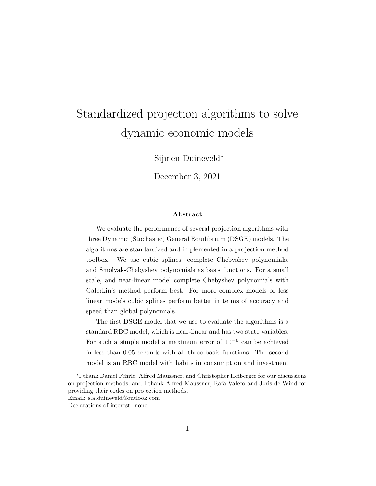# Standardized projection algorithms to solve dynamic economic models

Sijmen Duineveld<sup>∗</sup>

December 3, 2021

#### **Abstract**

We evaluate the performance of several projection algorithms with three Dynamic (Stochastic) General Equilibrium (DSGE) models. The algorithms are standardized and implemented in a projection method toolbox. We use cubic splines, complete Chebyshev polynomials, and Smolyak-Chebyshev polynomials as basis functions. For a small scale, and near-linear model complete Chebyshev polynomials with Galerkin's method perform best. For more complex models or less linear models cubic splines perform better in terms of accuracy and speed than global polynomials.

The first DSGE model that we use to evaluate the algorithms is a standard RBC model, which is near-linear and has two state variables. For such a simple model a maximum error of 10−<sup>6</sup> can be achieved in less than 0.05 seconds with all three basis functions. The second model is an RBC model with habits in consumption and investment

∗ I thank Daniel Fehrle, Alfred Maussner, and Christopher Heiberger for our discussions on projection methods, and I thank Alfred Maussner, Rafa Valero and Joris de Wind for providing their codes on projection methods. Email: s.a.duineveld@outlook.com

Declarations of interest: none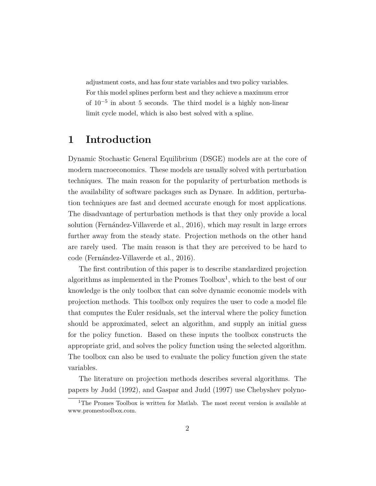adjustment costs, and has four state variables and two policy variables. For this model splines perform best and they achieve a maximum error of 10−<sup>5</sup> in about 5 seconds. The third model is a highly non-linear limit cycle model, which is also best solved with a spline.

# **1 Introduction**

Dynamic Stochastic General Equilibrium (DSGE) models are at the core of modern macroeconomics. These models are usually solved with perturbation techniques. The main reason for the popularity of perturbation methods is the availability of software packages such as Dynare. In addition, perturbation techniques are fast and deemed accurate enough for most applications. The disadvantage of perturbation methods is that they only provide a local solution (Fernández-Villaverde et al., 2016), which may result in large errors further away from the steady state. Projection methods on the other hand are rarely used. The main reason is that they are perceived to be hard to code (Fernández-Villaverde et al., 2016).

The first contribution of this paper is to describe standardized projection algorithms as implemented in the Promes Toolbox<sup>1</sup>, which to the best of our knowledge is the only toolbox that can solve dynamic economic models with projection methods. This toolbox only requires the user to code a model file that computes the Euler residuals, set the interval where the policy function should be approximated, select an algorithm, and supply an initial guess for the policy function. Based on these inputs the toolbox constructs the appropriate grid, and solves the policy function using the selected algorithm. The toolbox can also be used to evaluate the policy function given the state variables.

The literature on projection methods describes several algorithms. The papers by Judd (1992), and Gaspar and Judd (1997) use Chebyshev polyno-

<sup>&</sup>lt;sup>1</sup>The Promes Toolbox is written for Matlab. The most recent version is available at www.promestoolbox.com.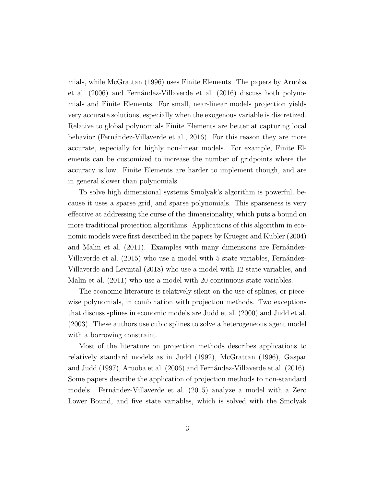mials, while McGrattan (1996) uses Finite Elements. The papers by Aruoba et al. (2006) and Fernández-Villaverde et al. (2016) discuss both polynomials and Finite Elements. For small, near-linear models projection yields very accurate solutions, especially when the exogenous variable is discretized. Relative to global polynomials Finite Elements are better at capturing local behavior (Fernández-Villaverde et al., 2016). For this reason they are more accurate, especially for highly non-linear models. For example, Finite Elements can be customized to increase the number of gridpoints where the accuracy is low. Finite Elements are harder to implement though, and are in general slower than polynomials.

To solve high dimensional systems Smolyak's algorithm is powerful, because it uses a sparse grid, and sparse polynomials. This sparseness is very effective at addressing the curse of the dimensionality, which puts a bound on more traditional projection algorithms. Applications of this algorithm in economic models were first described in the papers by Krueger and Kubler (2004) and Malin et al. (2011). Examples with many dimensions are Fernández-Villaverde et al. (2015) who use a model with 5 state variables, Fernández-Villaverde and Levintal (2018) who use a model with 12 state variables, and Malin et al. (2011) who use a model with 20 continuous state variables.

The economic literature is relatively silent on the use of splines, or piecewise polynomials, in combination with projection methods. Two exceptions that discuss splines in economic models are Judd et al. (2000) and Judd et al. (2003). These authors use cubic splines to solve a heterogeneous agent model with a borrowing constraint.

Most of the literature on projection methods describes applications to relatively standard models as in Judd (1992), McGrattan (1996), Gaspar and Judd (1997), Aruoba et al. (2006) and Fernández-Villaverde et al. (2016). Some papers describe the application of projection methods to non-standard models. Fernández-Villaverde et al. (2015) analyze a model with a Zero Lower Bound, and five state variables, which is solved with the Smolyak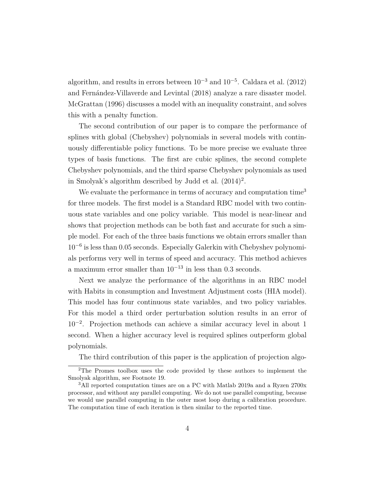algorithm, and results in errors between  $10^{-3}$  and  $10^{-5}$ . Caldara et al. (2012) and Fernández-Villaverde and Levintal (2018) analyze a rare disaster model. McGrattan (1996) discusses a model with an inequality constraint, and solves this with a penalty function.

The second contribution of our paper is to compare the performance of splines with global (Chebyshev) polynomials in several models with continuously differentiable policy functions. To be more precise we evaluate three types of basis functions. The first are cubic splines, the second complete Chebyshev polynomials, and the third sparse Chebyshev polynomials as used in Smolyak's algorithm described by Judd et al.  $(2014)^2$ .

We evaluate the performance in terms of accuracy and computation time<sup>3</sup> for three models. The first model is a Standard RBC model with two continuous state variables and one policy variable. This model is near-linear and shows that projection methods can be both fast and accurate for such a simple model. For each of the three basis functions we obtain errors smaller than 10<sup>−</sup><sup>6</sup> is less than 0.05 seconds. Especially Galerkin with Chebyshev polynomials performs very well in terms of speed and accuracy. This method achieves a maximum error smaller than  $10^{-13}$  in less than 0.3 seconds.

Next we analyze the performance of the algorithms in an RBC model with Habits in consumption and Investment Adjustment costs (HIA model). This model has four continuous state variables, and two policy variables. For this model a third order perturbation solution results in an error of 10<sup>−</sup><sup>2</sup> . Projection methods can achieve a similar accuracy level in about 1 second. When a higher accuracy level is required splines outperform global polynomials.

The third contribution of this paper is the application of projection algo-

<sup>&</sup>lt;sup>2</sup>The Promes toolbox uses the code provided by these authors to implement the Smolyak algorithm, see Footnote 19.

<sup>3</sup>All reported computation times are on a PC with Matlab 2019a and a Ryzen 2700x processor, and without any parallel computing. We do not use parallel computing, because we would use parallel computing in the outer most loop during a calibration procedure. The computation time of each iteration is then similar to the reported time.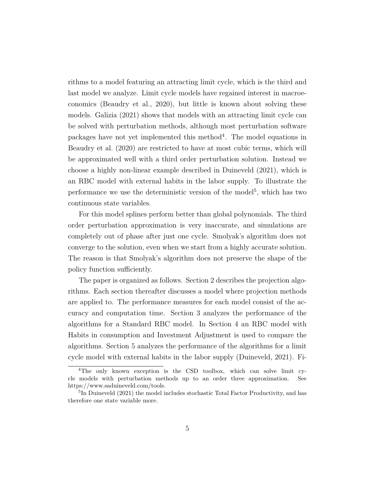rithms to a model featuring an attracting limit cycle, which is the third and last model we analyze. Limit cycle models have regained interest in macroeconomics (Beaudry et al., 2020), but little is known about solving these models. Galizia (2021) shows that models with an attracting limit cycle can be solved with perturbation methods, although most perturbation software packages have not yet implemented this method<sup>4</sup>. The model equations in Beaudry et al. (2020) are restricted to have at most cubic terms, which will be approximated well with a third order perturbation solution. Instead we choose a highly non-linear example described in Duineveld (2021), which is an RBC model with external habits in the labor supply. To illustrate the performance we use the deterministic version of the model<sup>5</sup>, which has two continuous state variables.

For this model splines perform better than global polynomials. The third order perturbation approximation is very inaccurate, and simulations are completely out of phase after just one cycle. Smolyak's algorithm does not converge to the solution, even when we start from a highly accurate solution. The reason is that Smolyak's algorithm does not preserve the shape of the policy function sufficiently.

The paper is organized as follows. Section 2 describes the projection algorithms. Each section thereafter discusses a model where projection methods are applied to. The performance measures for each model consist of the accuracy and computation time. Section 3 analyzes the performance of the algorithms for a Standard RBC model. In Section 4 an RBC model with Habits in consumption and Investment Adjustment is used to compare the algorithms. Section 5 analyzes the performance of the algorithms for a limit cycle model with external habits in the labor supply (Duineveld, 2021). Fi-

<sup>&</sup>lt;sup>4</sup>The only known exception is the CSD toolbox, which can solve limit cycle models with perturbation methods up to an order three approximation. See https://www.saduineveld.com/tools.

<sup>&</sup>lt;sup>5</sup>In Duineveld (2021) the model includes stochastic Total Factor Productivity, and has therefore one state variable more.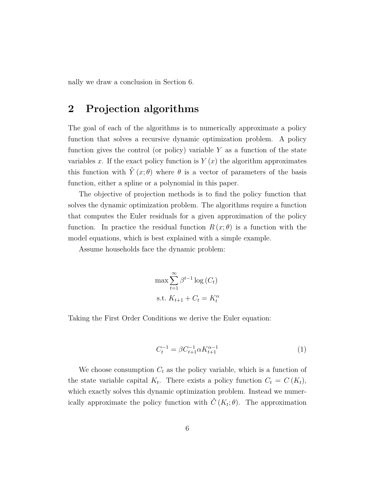nally we draw a conclusion in Section 6.

# **2 Projection algorithms**

The goal of each of the algorithms is to numerically approximate a policy function that solves a recursive dynamic optimization problem. A policy function gives the control (or policy) variable *Y* as a function of the state variables x. If the exact policy function is  $Y(x)$  the algorithm approximates this function with  $\hat{Y}(x;\theta)$  where  $\theta$  is a vector of parameters of the basis function, either a spline or a polynomial in this paper.

The objective of projection methods is to find the policy function that solves the dynamic optimization problem. The algorithms require a function that computes the Euler residuals for a given approximation of the policy function. In practice the residual function  $R(x;\theta)$  is a function with the model equations, which is best explained with a simple example.

Assume households face the dynamic problem:

$$
\max \sum_{t=1}^{\infty} \beta^{t-1} \log (C_t)
$$
  
s.t.  $K_{t+1} + C_t = K_t^{\alpha}$ 

Taking the First Order Conditions we derive the Euler equation:

$$
C_t^{-1} = \beta C_{t+1}^{-1} \alpha K_{t+1}^{\alpha - 1} \tag{1}
$$

We choose consumption  $C_t$  as the policy variable, which is a function of the state variable capital  $K_t$ . There exists a policy function  $C_t = C(K_t)$ , which exactly solves this dynamic optimization problem. Instead we numerically approximate the policy function with  $\hat{C}(K_t;\theta)$ . The approximation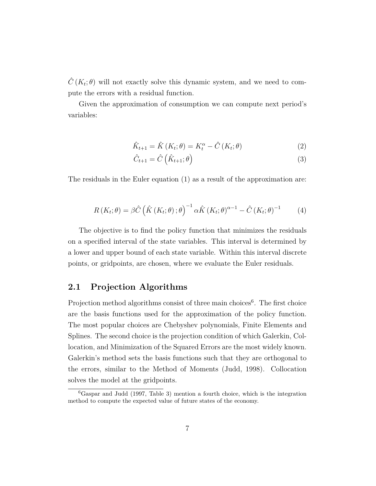$\hat{C}(K_t; \theta)$  will not exactly solve this dynamic system, and we need to compute the errors with a residual function.

Given the approximation of consumption we can compute next period's variables:

$$
\hat{K}_{t+1} = \hat{K}(K_t; \theta) = K_t^{\alpha} - \hat{C}(K_t; \theta)
$$
\n(2)

$$
\hat{C}_{t+1} = \hat{C}\left(\hat{K}_{t+1};\theta\right) \tag{3}
$$

The residuals in the Euler equation (1) as a result of the approximation are:

$$
R(K_t; \theta) = \beta \hat{C} \left( \hat{K}(K_t; \theta); \theta \right)^{-1} \alpha \hat{K}(K_t; \theta)^{\alpha - 1} - \hat{C}(K_t; \theta)^{-1}
$$
 (4)

The objective is to find the policy function that minimizes the residuals on a specified interval of the state variables. This interval is determined by a lower and upper bound of each state variable. Within this interval discrete points, or gridpoints, are chosen, where we evaluate the Euler residuals.

#### **2.1 Projection Algorithms**

Projection method algorithms consist of three main choices<sup>6</sup>. The first choice are the basis functions used for the approximation of the policy function. The most popular choices are Chebyshev polynomials, Finite Elements and Splines. The second choice is the projection condition of which Galerkin, Collocation, and Minimization of the Squared Errors are the most widely known. Galerkin's method sets the basis functions such that they are orthogonal to the errors, similar to the Method of Moments (Judd, 1998). Collocation solves the model at the gridpoints.

 ${}^{6}$ Gaspar and Judd (1997, Table 3) mention a fourth choice, which is the integration method to compute the expected value of future states of the economy.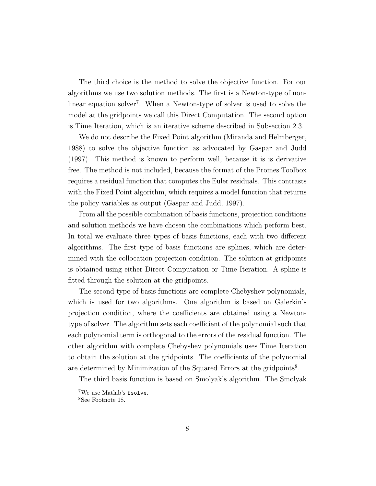The third choice is the method to solve the objective function. For our algorithms we use two solution methods. The first is a Newton-type of nonlinear equation solver<sup>7</sup>. When a Newton-type of solver is used to solve the model at the gridpoints we call this Direct Computation. The second option is Time Iteration, which is an iterative scheme described in Subsection 2.3.

We do not describe the Fixed Point algorithm (Miranda and Helmberger, 1988) to solve the objective function as advocated by Gaspar and Judd (1997). This method is known to perform well, because it is is derivative free. The method is not included, because the format of the Promes Toolbox requires a residual function that computes the Euler residuals. This contrasts with the Fixed Point algorithm, which requires a model function that returns the policy variables as output (Gaspar and Judd, 1997).

From all the possible combination of basis functions, projection conditions and solution methods we have chosen the combinations which perform best. In total we evaluate three types of basis functions, each with two different algorithms. The first type of basis functions are splines, which are determined with the collocation projection condition. The solution at gridpoints is obtained using either Direct Computation or Time Iteration. A spline is fitted through the solution at the gridpoints.

The second type of basis functions are complete Chebyshev polynomials, which is used for two algorithms. One algorithm is based on Galerkin's projection condition, where the coefficients are obtained using a Newtontype of solver. The algorithm sets each coefficient of the polynomial such that each polynomial term is orthogonal to the errors of the residual function. The other algorithm with complete Chebyshev polynomials uses Time Iteration to obtain the solution at the gridpoints. The coefficients of the polynomial are determined by Minimization of the Squared Errors at the gridpoints<sup>8</sup>.

The third basis function is based on Smolyak's algorithm. The Smolyak

<sup>7</sup>We use Matlab's fsolve.

<sup>8</sup>See Footnote 18.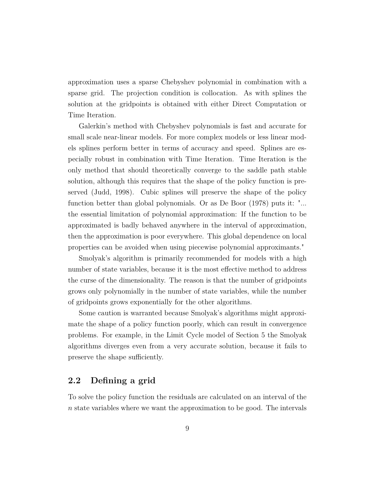approximation uses a sparse Chebyshev polynomial in combination with a sparse grid. The projection condition is collocation. As with splines the solution at the gridpoints is obtained with either Direct Computation or Time Iteration.

Galerkin's method with Chebyshev polynomials is fast and accurate for small scale near-linear models. For more complex models or less linear models splines perform better in terms of accuracy and speed. Splines are especially robust in combination with Time Iteration. Time Iteration is the only method that should theoretically converge to the saddle path stable solution, although this requires that the shape of the policy function is preserved (Judd, 1998). Cubic splines will preserve the shape of the policy function better than global polynomials. Or as De Boor (1978) puts it: "... the essential limitation of polynomial approximation: If the function to be approximated is badly behaved anywhere in the interval of approximation, then the approximation is poor everywhere. This global dependence on local properties can be avoided when using piecewise polynomial approximants."

Smolyak's algorithm is primarily recommended for models with a high number of state variables, because it is the most effective method to address the curse of the dimensionality. The reason is that the number of gridpoints grows only polynomially in the number of state variables, while the number of gridpoints grows exponentially for the other algorithms.

Some caution is warranted because Smolyak's algorithms might approximate the shape of a policy function poorly, which can result in convergence problems. For example, in the Limit Cycle model of Section 5 the Smolyak algorithms diverges even from a very accurate solution, because it fails to preserve the shape sufficiently.

### **2.2 Defining a grid**

To solve the policy function the residuals are calculated on an interval of the *n* state variables where we want the approximation to be good. The intervals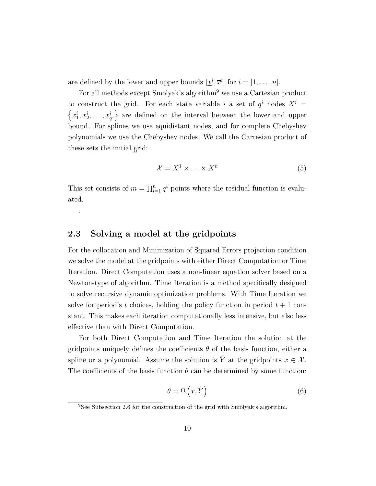are defined by the lower and upper bounds  $[\underline{x}^i, \overline{x}^i]$  for  $i = [1, \ldots, n]$ .

For all methods except Smolyak's algorithm<sup>9</sup> we use a Cartesian product to construct the grid. For each state variable *i* a set of  $q<sup>i</sup>$  nodes  $X<sup>i</sup>$  =  $\{x_1^i, x_2^i, \ldots, x_{q^i}^i\}$  are defined on the interval between the lower and upper bound. For splines we use equidistant nodes, and for complete Chebyshev polynomials we use the Chebyshev nodes. We call the Cartesian product of these sets the initial grid:

$$
\mathcal{X} = X^1 \times \ldots \times X^n \tag{5}
$$

This set consists of  $m = \prod_{i=1}^n q^i$  points where the residual function is evaluated.

### **2.3 Solving a model at the gridpoints**

.

For the collocation and Minimization of Squared Errors projection condition we solve the model at the gridpoints with either Direct Computation or Time Iteration. Direct Computation uses a non-linear equation solver based on a Newton-type of algorithm. Time Iteration is a method specifically designed to solve recursive dynamic optimization problems. With Time Iteration we solve for period's t choices, holding the policy function in period  $t + 1$  constant. This makes each iteration computationally less intensive, but also less effective than with Direct Computation.

For both Direct Computation and Time Iteration the solution at the gridpoints uniquely defines the coefficients  $\theta$  of the basis function, either a spline or a polynomial. Assume the solution is  $\tilde{Y}$  at the gridpoints  $x \in \mathcal{X}$ . The coefficients of the basis function  $\theta$  can be determined by some function:

$$
\theta = \Omega\left(x, \tilde{Y}\right) \tag{6}
$$

<sup>&</sup>lt;sup>9</sup>See Subsection 2.6 for the construction of the grid with Smolyak's algorithm.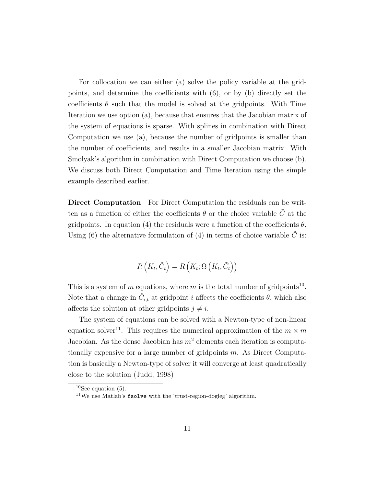For collocation we can either (a) solve the policy variable at the gridpoints, and determine the coefficients with (6), or by (b) directly set the coefficients  $\theta$  such that the model is solved at the gridpoints. With Time Iteration we use option (a), because that ensures that the Jacobian matrix of the system of equations is sparse. With splines in combination with Direct Computation we use (a), because the number of gridpoints is smaller than the number of coefficients, and results in a smaller Jacobian matrix. With Smolyak's algorithm in combination with Direct Computation we choose (b). We discuss both Direct Computation and Time Iteration using the simple example described earlier.

**Direct Computation** For Direct Computation the residuals can be written as a function of either the coefficients  $\theta$  or the choice variable  $\tilde{C}$  at the gridpoints. In equation (4) the residuals were a function of the coefficients  $\theta$ . Using  $(6)$  the alternative formulation of  $(4)$  in terms of choice variable *C* is:

$$
R\left(K_t, \tilde{C}_t\right) = R\left(K_t; \Omega\left(K_t, \tilde{C}_t\right)\right)
$$

This is a system of *m* equations, where *m* is the total number of gridpoints<sup>10</sup>. Note that a change in  $\tilde{C}_{i,t}$  at gridpoint *i* affects the coefficients  $\theta$ , which also affects the solution at other gridpoints  $j \neq i$ .

The system of equations can be solved with a Newton-type of non-linear equation solver<sup>11</sup>. This requires the numerical approximation of the  $m \times m$ Jacobian. As the dense Jacobian has  $m^2$  elements each iteration is computationally expensive for a large number of gridpoints *m*. As Direct Computation is basically a Newton-type of solver it will converge at least quadratically close to the solution (Judd, 1998)

 $10$ See equation (5).

<sup>11</sup>We use Matlab's fsolve with the 'trust-region-dogleg' algorithm.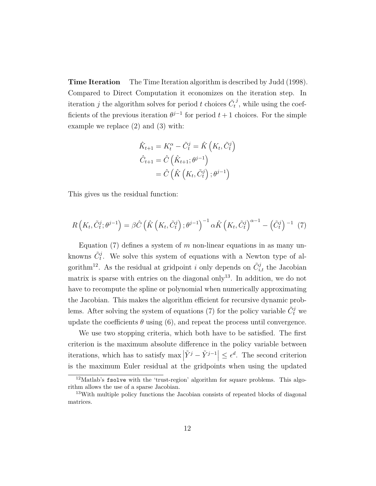**Time Iteration** The Time Iteration algorithm is described by Judd (1998). Compared to Direct Computation it economizes on the iteration step. In iteration *j* the algorithm solves for period *t* choices  $\tilde{C}_t$ *j* , while using the coefficients of the previous iteration  $\theta^{j-1}$  for period  $t+1$  choices. For the simple example we replace (2) and (3) with:

$$
\hat{K}_{t+1} = K_t^{\alpha} - \tilde{C}_t^j = \hat{K} \left( K_t, \tilde{C}_t^j \right)
$$
\n
$$
\hat{C}_{t+1} = \hat{C} \left( \hat{K}_{t+1}; \theta^{j-1} \right)
$$
\n
$$
= \hat{C} \left( \hat{K} \left( K_t, \tilde{C}_t^j \right); \theta^{j-1} \right)
$$

This gives us the residual function:

$$
R\left(K_t, \tilde{C}_t^j; \theta^{j-1}\right) = \beta \hat{C}\left(\hat{K}\left(K_t, \tilde{C}_t^j\right); \theta^{j-1}\right)^{-1} \alpha \hat{K}\left(K_t, \tilde{C}_t^j\right)^{\alpha-1} - \left(\tilde{C}_t^j\right)^{-1} (7)
$$

Equation (7) defines a system of *m* non-linear equations in as many unknowns  $\tilde{C}^j_t$ . We solve this system of equations with a Newton type of algorithm<sup>12</sup>. As the residual at gridpoint *i* only depends on  $\tilde{C}^j_{i,t}$  the Jacobian matrix is sparse with entries on the diagonal only<sup>13</sup>. In addition, we do not have to recompute the spline or polynomial when numerically approximating the Jacobian. This makes the algorithm efficient for recursive dynamic problems. After solving the system of equations (7) for the policy variable  $\tilde{C}_t^j$  we update the coefficients  $\theta$  using (6), and repeat the process until convergence.

We use two stopping criteria, which both have to be satisfied. The first criterion is the maximum absolute difference in the policy variable between iterations, which has to satisfy  $\max |\tilde{Y}^j - \tilde{Y}^{j-1}| \leq \epsilon^d$ . The second criterion is the maximum Euler residual at the gridpoints when using the updated

 $12$ Matlab's fsolve with the 'trust-region' algorithm for square problems. This algorithm allows the use of a sparse Jacobian.

<sup>&</sup>lt;sup>13</sup>With multiple policy functions the Jacobian consists of repeated blocks of diagonal matrices.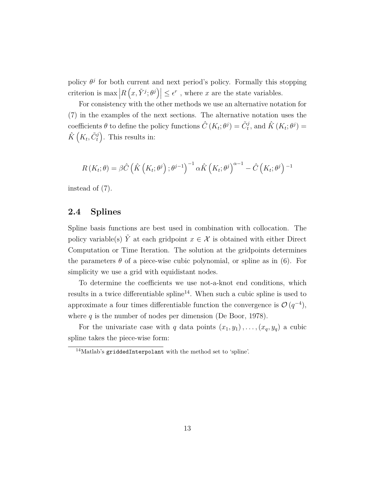policy  $\theta^j$  for both current and next period's policy. Formally this stopping criterion is max  $|R(x, \tilde{Y}^j; \theta^j)| \leq \epsilon^r$ , where *x* are the state variables.

For consistency with the other methods we use an alternative notation for (7) in the examples of the next sections. The alternative notation uses the coefficients  $\theta$  to define the policy functions  $\hat{C}(K_t; \theta^j) = \tilde{C}_t^j$ , and  $\hat{K}(K_t; \theta^j) =$  $\hat{K}\left(K_t, \tilde{C}_t^j\right)$ . This results in:

$$
R(K_t; \theta) = \beta \hat{C} \left( \hat{K} \left( K_t; \theta^j \right); \theta^{j-1} \right)^{-1} \alpha \hat{K} \left( K_t; \theta^j \right)^{\alpha-1} - \hat{C} \left( K_t; \theta^j \right)^{-1}
$$

instead of (7).

#### **2.4 Splines**

Spline basis functions are best used in combination with collocation. The policy variable(s)  $\tilde{Y}$  at each gridpoint  $x \in \mathcal{X}$  is obtained with either Direct Computation or Time Iteration. The solution at the gridpoints determines the parameters  $\theta$  of a piece-wise cubic polynomial, or spline as in (6). For simplicity we use a grid with equidistant nodes.

To determine the coefficients we use not-a-knot end conditions, which results in a twice differentiable spline<sup>14</sup>. When such a cubic spline is used to approximate a four times differentiable function the convergence is  $\mathcal{O}(q^{-4})$ , where *q* is the number of nodes per dimension (De Boor, 1978).

For the univariate case with *q* data points  $(x_1, y_1), \ldots, (x_q, y_q)$  a cubic spline takes the piece-wise form:

<sup>14</sup>Matlab's griddedInterpolant with the method set to 'spline'.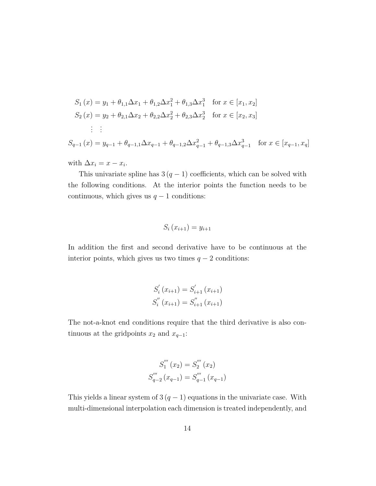$$
S_1(x) = y_1 + \theta_{1,1}\Delta x_1 + \theta_{1,2}\Delta x_1^2 + \theta_{1,3}\Delta x_1^3 \quad \text{for } x \in [x_1, x_2]
$$
  
\n
$$
S_2(x) = y_2 + \theta_{2,1}\Delta x_2 + \theta_{2,2}\Delta x_2^2 + \theta_{2,3}\Delta x_2^3 \quad \text{for } x \in [x_2, x_3]
$$
  
\n
$$
\vdots \quad \vdots
$$
  
\n
$$
S_{q-1}(x) = y_{q-1} + \theta_{q-1,1}\Delta x_{q-1} + \theta_{q-1,2}\Delta x_{q-1}^2 + \theta_{q-1,3}\Delta x_{q-1}^3 \quad \text{for } x \in [x_{q-1}, x_q]
$$

with  $\Delta x_i = x - x_i$ .

This univariate spline has  $3(q-1)$  coefficients, which can be solved with the following conditions. At the interior points the function needs to be continuous, which gives us  $q-1$  conditions:

$$
S_i(x_{i+1}) = y_{i+1}
$$

In addition the first and second derivative have to be continuous at the interior points, which gives us two times  $q - 2$  conditions:

$$
S'_{i}(x_{i+1}) = S'_{i+1}(x_{i+1})
$$
  

$$
S''_{i}(x_{i+1}) = S''_{i+1}(x_{i+1})
$$

The not-a-knot end conditions require that the third derivative is also continuous at the gridpoints  $x_2$  and  $x_{q-1}$ :

$$
S_1^{'''}(x_2) = S_2^{'''}(x_2)
$$
  

$$
S_{q-2}^{'''}(x_{q-1}) = S_{q-1}^{'''}(x_{q-1})
$$

This yields a linear system of  $3(q-1)$  equations in the univariate case. With multi-dimensional interpolation each dimension is treated independently, and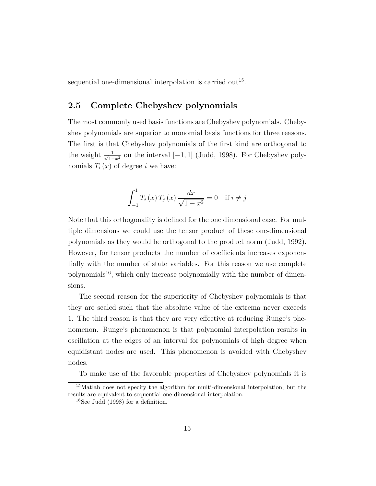sequential one-dimensional interpolation is carried out<sup>15</sup>.

#### **2.5 Complete Chebyshev polynomials**

The most commonly used basis functions are Chebyshev polynomials. Chebyshev polynomials are superior to monomial basis functions for three reasons. The first is that Chebyshev polynomials of the first kind are orthogonal to the weight  $\frac{1}{\sqrt{1-x^2}}$  on the interval [-1, 1] (Judd, 1998). For Chebyshev polynomials  $T_i(x)$  of degree *i* we have:

$$
\int_{-1}^{1} T_i(x) T_j(x) \frac{dx}{\sqrt{1 - x^2}} = 0 \quad \text{if } i \neq j
$$

Note that this orthogonality is defined for the one dimensional case. For multiple dimensions we could use the tensor product of these one-dimensional polynomials as they would be orthogonal to the product norm (Judd, 1992). However, for tensor products the number of coefficients increases exponentially with the number of state variables. For this reason we use complete polynomials<sup>16</sup>, which only increase polynomially with the number of dimensions.

The second reason for the superiority of Chebyshev polynomials is that they are scaled such that the absolute value of the extrema never exceeds 1. The third reason is that they are very effective at reducing Runge's phenomenon. Runge's phenomenon is that polynomial interpolation results in oscillation at the edges of an interval for polynomials of high degree when equidistant nodes are used. This phenomenon is avoided with Chebyshev nodes.

To make use of the favorable properties of Chebyshev polynomials it is

<sup>15</sup>Matlab does not specify the algorithm for multi-dimensional interpolation, but the results are equivalent to sequential one dimensional interpolation.

 $16$ See Judd (1998) for a definition.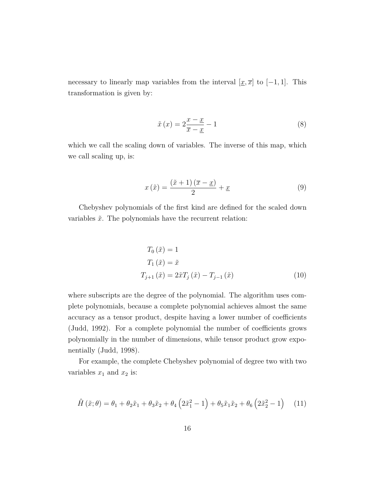necessary to linearly map variables from the interval  $[\underline{x}, \overline{x}]$  to  $[-1, 1]$ . This transformation is given by:

$$
\tilde{x}(x) = 2\frac{x - \underline{x}}{\overline{x} - \underline{x}} - 1\tag{8}
$$

which we call the scaling down of variables. The inverse of this map, which we call scaling up, is:

$$
x\left(\tilde{x}\right) = \frac{\left(\tilde{x} + 1\right)\left(\overline{x} - \underline{x}\right)}{2} + \underline{x} \tag{9}
$$

Chebyshev polynomials of the first kind are defined for the scaled down variables  $\tilde{x}$ . The polynomials have the recurrent relation:

$$
T_0(\tilde{x}) = 1
$$
  
\n
$$
T_1(\tilde{x}) = \tilde{x}
$$
  
\n
$$
T_{j+1}(\tilde{x}) = 2\tilde{x}T_j(\tilde{x}) - T_{j-1}(\tilde{x})
$$
\n(10)

where subscripts are the degree of the polynomial. The algorithm uses complete polynomials, because a complete polynomial achieves almost the same accuracy as a tensor product, despite having a lower number of coefficients (Judd, 1992). For a complete polynomial the number of coefficients grows polynomially in the number of dimensions, while tensor product grow exponentially (Judd, 1998).

For example, the complete Chebyshev polynomial of degree two with two variables  $x_1$  and  $x_2$  is:

$$
\hat{H}\left(\tilde{x};\theta\right) = \theta_1 + \theta_2 \tilde{x}_1 + \theta_3 \tilde{x}_2 + \theta_4 \left(2\tilde{x}_1^2 - 1\right) + \theta_5 \tilde{x}_1 \tilde{x}_2 + \theta_6 \left(2\tilde{x}_2^2 - 1\right) \tag{11}
$$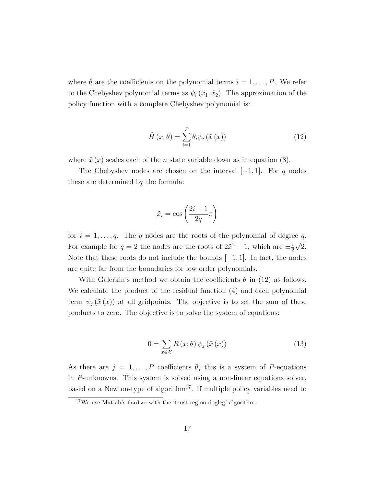where  $\theta$  are the coefficients on the polynomial terms  $i = 1, \ldots, P$ . We refer to the Chebyshev polynomial terms as  $\psi_i(\tilde{x}_1, \tilde{x}_2)$ . The approximation of the policy function with a complete Chebyshev polynomial is:

$$
\hat{H}(x; \theta) = \sum_{i=1}^{P} \theta_i \psi_i (\tilde{x}(x))
$$
\n(12)

where  $\tilde{x}(x)$  scales each of the *n* state variable down as in equation (8).

The Chebyshev nodes are chosen on the interval [−1*,* 1]. For *q* nodes these are determined by the formula:

$$
\tilde{x}_i = \cos\left(\frac{2i-1}{2q}\pi\right)
$$

for  $i = 1, \ldots, q$ . The *q* nodes are the roots of the polynomial of degree *q*. For example for  $q = 2$  the nodes are the roots of  $2\tilde{x}^2 - 1$ , which are  $\pm \frac{1}{2}$ 2 √ 2. Note that these roots do not include the bounds [−1*,* 1]. In fact, the nodes are quite far from the boundaries for low order polynomials.

With Galerkin's method we obtain the coefficients  $\theta$  in (12) as follows. We calculate the product of the residual function (4) and each polynomial term  $\psi_j(\tilde{x}(x))$  at all gridpoints. The objective is to set the sum of these products to zero. The objective is to solve the system of equations:

$$
0 = \sum_{x \in \mathcal{X}} R(x; \theta) \psi_j \left( \tilde{x}(x) \right) \tag{13}
$$

As there are  $j = 1, ..., P$  coefficients  $\theta_j$  this is a system of P-equations in *P*-unknowns. This system is solved using a non-linear equations solver, based on a Newton-type of algorithm<sup>17</sup>. If multiple policy variables need to

<sup>17</sup>We use Matlab's fsolve with the 'trust-region-dogleg' algorithm.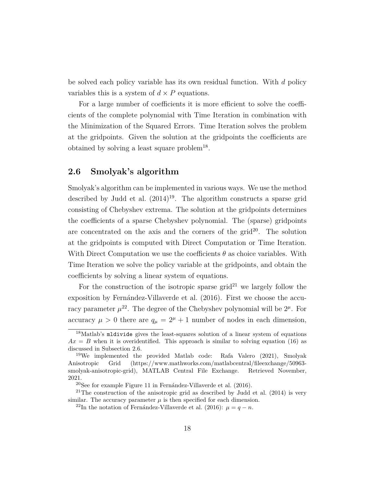be solved each policy variable has its own residual function. With *d* policy variables this is a system of  $d \times P$  equations.

For a large number of coefficients it is more efficient to solve the coefficients of the complete polynomial with Time Iteration in combination with the Minimization of the Squared Errors. Time Iteration solves the problem at the gridpoints. Given the solution at the gridpoints the coefficients are obtained by solving a least square problem<sup>18</sup>.

#### **2.6 Smolyak's algorithm**

Smolyak's algorithm can be implemented in various ways. We use the method described by Judd et al.  $(2014)^{19}$ . The algorithm constructs a sparse grid consisting of Chebyshev extrema. The solution at the gridpoints determines the coefficients of a sparse Chebyshev polynomial. The (sparse) gridpoints are concentrated on the axis and the corners of the grid $^{20}$ . The solution at the gridpoints is computed with Direct Computation or Time Iteration. With Direct Computation we use the coefficients *θ* as choice variables. With Time Iteration we solve the policy variable at the gridpoints, and obtain the coefficients by solving a linear system of equations.

For the construction of the isotropic sparse grid<sup>21</sup> we largely follow the exposition by Fernández-Villaverde et al. (2016). First we choose the accuracy parameter  $\mu^{22}$ . The degree of the Chebyshev polynomial will be  $2^{\mu}$ . For accuracy  $\mu > 0$  there are  $q_{\mu} = 2^{\mu} + 1$  number of nodes in each dimension,

<sup>18</sup>Matlab's mldivide gives the least-squares solution of a linear system of equations  $Ax = B$  when it is overidentified. This approach is similar to solving equation (16) as discussed in Subsection 2.6.

<sup>&</sup>lt;sup>19</sup>We implemented the provided Matlab code: Rafa Valero  $(2021)$ , Smolyak Anisotropic Grid (https://www.mathworks.com/matlabcentral/fileexchange/50963 smolyak-anisotropic-grid), MATLAB Central File Exchange. Retrieved November, 2021.

<sup>20</sup>See for example Figure 11 in Fernández-Villaverde et al. (2016).

<sup>21</sup>The construction of the anisotropic grid as described by Judd et al. (2014) is very similar. The accuracy parameter  $\mu$  is then specified for each dimension.

<sup>&</sup>lt;sup>22</sup>In the notation of Fernández-Villaverde et al. (2016):  $\mu = q - n$ .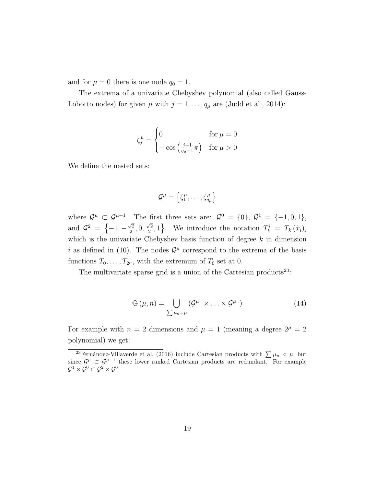and for  $\mu = 0$  there is one node  $q_0 = 1$ .

The extrema of a univariate Chebyshev polynomial (also called Gauss-Lobotto nodes) for given  $\mu$  with  $j = 1, \ldots, q_{\mu}$  are (Judd et al., 2014):

$$
\zeta_j^{\mu} = \begin{cases} 0 & \text{for } \mu = 0\\ -\cos\left(\frac{j-1}{q_{\mu}-1}\pi\right) & \text{for } \mu > 0 \end{cases}
$$

We define the nested sets:

$$
\mathcal{G}^\mu = \left\{\zeta_1^\mu,\ldots,\zeta_{q_\mu}^\mu\right\}
$$

where  $\mathcal{G}^{\mu} \subset \mathcal{G}^{\mu+1}$ . The first three sets are:  $\mathcal{G}^{0} = \{0\}, \mathcal{G}^{1} = \{-1,0,1\},\$ and  $\mathcal{G}^2 = \{-1, -1\}$  $\sqrt{2}$  $\frac{\sqrt{2}}{2}, 0,$  $\sqrt{2}$  $\left\{\frac{\sqrt{2}}{2}, 1\right\}$ . We introduce the notation  $T_k^i = T_k(\tilde{x}_i)$ , which is the univariate Chebyshev basis function of degree *k* in dimension i as defined in (10). The nodes  $\mathcal{G}^{\mu}$  correspond to the extrema of the basis functions  $T_0, \ldots, T_{2^{\mu}},$  with the extremum of  $T_0$  set at 0.

The multivariate sparse grid is a union of the Cartesian products<sup>23</sup>:

$$
\mathbb{G}\left(\mu,n\right) = \bigcup_{\sum \mu_n = \mu} \left(\mathcal{G}^{\mu_1} \times \ldots \times \mathcal{G}^{\mu_n}\right) \tag{14}
$$

For example with  $n = 2$  dimensions and  $\mu = 1$  (meaning a degree  $2^{\mu} = 2$ polynomial) we get:

<sup>&</sup>lt;sup>23</sup>Fernández-Villaverde et al. (2016) include Cartesian products with  $\sum \mu_n < \mu$ , but since  $\mathcal{G}^{\mu} \subset \mathcal{G}^{\mu+1}$  these lower ranked Cartesian products are redundant. For example  ${\cal G}^1 \times {\cal G}^0 \subset {\cal G}^2 \times {\cal G}^0$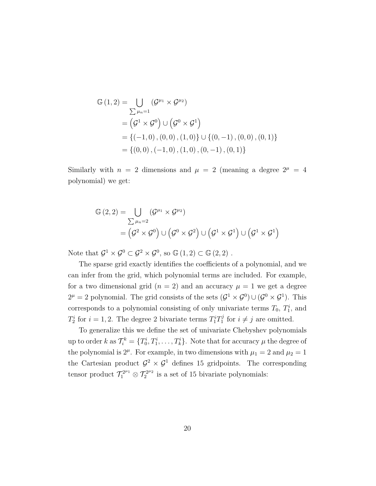$$
\mathbb{G}(1,2) = \bigcup_{\sum \mu_n=1} (\mathcal{G}^{\mu_1} \times \mathcal{G}^{\mu_2})
$$
  
=  $(\mathcal{G}^1 \times \mathcal{G}^0) \cup (\mathcal{G}^0 \times \mathcal{G}^1)$   
= { $(-1,0), (0,0), (1,0)$ }  $\cup$  { $(0,-1), (0,0), (0,1)$ }  
= { $(0,0), (-1,0), (1,0), (0,-1), (0,1)$ }

Similarly with  $n = 2$  dimensions and  $\mu = 2$  (meaning a degree  $2^{\mu} = 4$ polynomial) we get:

$$
\mathbb{G}(2,2) = \bigcup_{\sum \mu_n=2} (\mathcal{G}^{\mu_1} \times \mathcal{G}^{\mu_2})
$$
  
=  $(\mathcal{G}^2 \times \mathcal{G}^0) \cup (\mathcal{G}^0 \times \mathcal{G}^2) \cup (\mathcal{G}^1 \times \mathcal{G}^1) \cup (\mathcal{G}^1 \times \mathcal{G}^1)$ 

Note that  $\mathcal{G}^1 \times \mathcal{G}^0 \subset \mathcal{G}^2 \times \mathcal{G}^0$ , so  $\mathbb{G}(1,2) \subset \mathbb{G}(2,2)$ .

The sparse grid exactly identifies the coefficients of a polynomial, and we can infer from the grid, which polynomial terms are included. For example, for a two dimensional grid  $(n = 2)$  and an accuracy  $\mu = 1$  we get a degree  $2^{\mu} = 2$  polynomial. The grid consists of the sets  $(\mathcal{G}^1 \times \mathcal{G}^0) \cup (\mathcal{G}^0 \times \mathcal{G}^1)$ . This corresponds to a polynomial consisting of only univariate terms  $T_0$ ,  $T_1^i$ , and  $T_2^i$  for  $i = 1, 2$ . The degree 2 bivariate terms  $T_1^{i}T_1^{j}$  $j_1^j$  for  $i \neq j$  are omitted.

To generalize this we define the set of univariate Chebyshev polynomials up to order  $k$  as  $\mathcal{T}_i^k = \{T_0^i, T_1^i, \ldots, T_k^i\}$ . Note that for accuracy  $\mu$  the degree of the polynomial is  $2^{\mu}$ . For example, in two dimensions with  $\mu_1 = 2$  and  $\mu_2 = 1$ the Cartesian product  $\mathcal{G}^2 \times \mathcal{G}^1$  defines 15 gridpoints. The corresponding tensor product  $\mathcal{T}_1^{2^{\mu_1}} \otimes \mathcal{T}_2^{2^{\mu_2}}$  $\epsilon_2^{2\mu_2}$  is a set of 15 bivariate polynomials: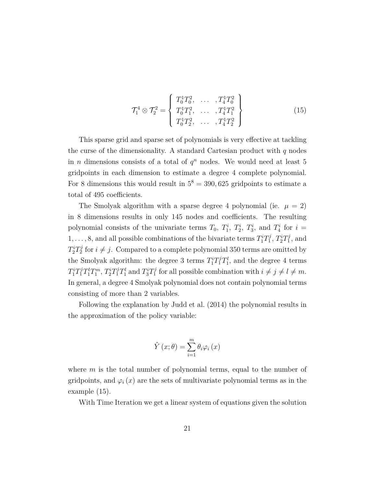$$
\mathcal{T}_1^4 \otimes \mathcal{T}_2^2 = \begin{Bmatrix} T_0^1 T_0^2, & \dots & T_4^1 T_0^2 \\ T_0^1 T_1^2, & \dots & T_4^1 T_1^2 \\ T_0^1 T_2^2, & \dots & T_4^1 T_2^2 \end{Bmatrix}
$$
 (15)

This sparse grid and sparse set of polynomials is very effective at tackling the curse of the dimensionality. A standard Cartesian product with *q* nodes in *n* dimensions consists of a total of  $q^n$  nodes. We would need at least 5 gridpoints in each dimension to estimate a degree 4 complete polynomial. For 8 dimensions this would result in  $5^8 = 390,625$  gridpoints to estimate a total of 495 coefficients.

The Smolyak algorithm with a sparse degree 4 polynomial (ie.  $\mu = 2$ ) in 8 dimensions results in only 145 nodes and coefficients. The resulting polynomial consists of the univariate terms  $T_0$ ,  $T_1^i$ ,  $T_2^i$ ,  $T_3^i$ , and  $T_4^i$  for  $i =$ 1, . . . , 8, and all possible combinations of the bivariate terms  $T_1^{i}T_1^{j}$  $T_1^j, T_2^i T_1^j$  $j<sub>1</sub>$ , and  $T_2^i T_2^j$ <sup>2</sup>/<sub>2</sub> for  $i \neq j$ . Compared to a complete polynomial 350 terms are omitted by the Smolyak algorithm: the degree 3 terms  $T_1^i T_1^j T_1^l$ , and the degree 4 terms  $T_1^i T_1^j T_1^l T_1^m$ ,  $T_2^i T_1^j T_1^l$  and  $T_3^i T_1^j$ <sup>1</sup>/<sub>1</sub> for all possible combination with  $i \neq j \neq l \neq m$ . In general, a degree 4 Smolyak polynomial does not contain polynomial terms consisting of more than 2 variables.

Following the explanation by Judd et al. (2014) the polynomial results in the approximation of the policy variable:

$$
\hat{Y}(x; \theta) = \sum_{i=1}^{m} \theta_i \varphi_i(x)
$$

where *m* is the total number of polynomial terms, equal to the number of gridpoints, and  $\varphi_i(x)$  are the sets of multivariate polynomial terms as in the example (15).

With Time Iteration we get a linear system of equations given the solution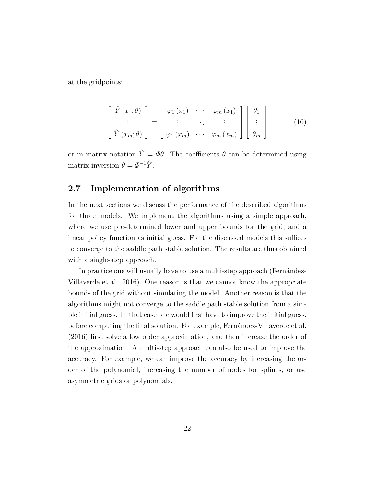at the gridpoints:

$$
\begin{bmatrix}\n\hat{Y}(x_1; \theta) \\
\vdots \\
\hat{Y}(x_m; \theta)\n\end{bmatrix} = \begin{bmatrix}\n\varphi_1(x_1) & \cdots & \varphi_m(x_1) \\
\vdots & \ddots & \vdots \\
\varphi_1(x_m) & \cdots & \varphi_m(x_m)\n\end{bmatrix} \begin{bmatrix}\n\theta_1 \\
\vdots \\
\theta_m\n\end{bmatrix}
$$
\n(16)

or in matrix notation  $\hat{Y} = \Phi \theta$ . The coefficients  $\theta$  can be determined using matrix inversion  $\theta = \Phi^{-1} \hat{Y}$ .

### **2.7 Implementation of algorithms**

In the next sections we discuss the performance of the described algorithms for three models. We implement the algorithms using a simple approach, where we use pre-determined lower and upper bounds for the grid, and a linear policy function as initial guess. For the discussed models this suffices to converge to the saddle path stable solution. The results are thus obtained with a single-step approach.

In practice one will usually have to use a multi-step approach (Fernández-Villaverde et al., 2016). One reason is that we cannot know the appropriate bounds of the grid without simulating the model. Another reason is that the algorithms might not converge to the saddle path stable solution from a simple initial guess. In that case one would first have to improve the initial guess, before computing the final solution. For example, Fernández-Villaverde et al. (2016) first solve a low order approximation, and then increase the order of the approximation. A multi-step approach can also be used to improve the accuracy. For example, we can improve the accuracy by increasing the order of the polynomial, increasing the number of nodes for splines, or use asymmetric grids or polynomials.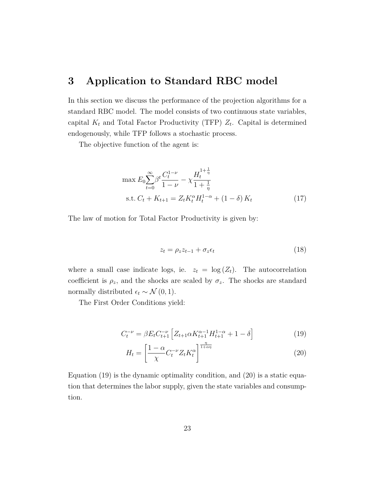### **3 Application to Standard RBC model**

In this section we discuss the performance of the projection algorithms for a standard RBC model. The model consists of two continuous state variables, capital *K<sup>t</sup>* and Total Factor Productivity (TFP) *Z<sup>t</sup>* . Capital is determined endogenously, while TFP follows a stochastic process.

The objective function of the agent is:

$$
\max E_0 \sum_{t=0}^{\infty} \beta^t \frac{C_t^{1-\nu}}{1-\nu} - \chi \frac{H_t^{1+\frac{1}{\eta}}}{1+\frac{1}{\eta}}
$$
  
s.t.  $C_t + K_{t+1} = Z_t K_t^{\alpha} H_t^{1-\alpha} + (1-\delta) K_t$  (17)

The law of motion for Total Factor Productivity is given by:

$$
z_t = \rho_z z_{t-1} + \sigma_z \epsilon_t \tag{18}
$$

where a small case indicate logs, ie.  $z_t = \log(Z_t)$ . The autocorrelation coefficient is  $\rho_z$ , and the shocks are scaled by  $\sigma_z$ . The shocks are standard normally distributed  $\epsilon_t \sim \mathcal{N}(0, 1)$ .

The First Order Conditions yield:

$$
C_t^{-\nu} = \beta E_t C_{t+1}^{-\nu} \left[ Z_{t+1} \alpha K_{t+1}^{\alpha-1} H_{t+1}^{1-\alpha} + 1 - \delta \right]
$$
 (19)

$$
H_t = \left[\frac{1-\alpha}{\chi} C_t^{-\nu} Z_t K_t^{\alpha}\right]^{\frac{\eta}{1+\alpha\eta}}
$$
\n(20)

Equation (19) is the dynamic optimality condition, and (20) is a static equation that determines the labor supply, given the state variables and consumption.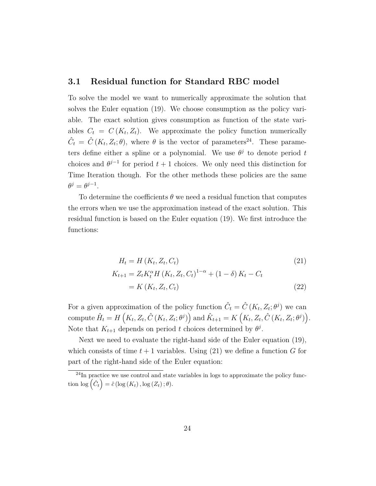#### **3.1 Residual function for Standard RBC model**

To solve the model we want to numerically approximate the solution that solves the Euler equation (19). We choose consumption as the policy variable. The exact solution gives consumption as function of the state variables  $C_t = C(K_t, Z_t)$ . We approximate the policy function numerically  $\hat{C}_t = \hat{C}(K_t, Z_t; \theta)$ , where  $\theta$  is the vector of parameters<sup>24</sup>. These parameters define either a spline or a polynomial. We use  $\theta^j$  to denote period *t* choices and  $\theta^{j-1}$  for period  $t+1$  choices. We only need this distinction for Time Iteration though. For the other methods these policies are the same  $\theta^j = \theta^{j-1}.$ 

To determine the coefficients  $\theta$  we need a residual function that computes the errors when we use the approximation instead of the exact solution. This residual function is based on the Euler equation (19). We first introduce the functions:

$$
H_t = H(K_t, Z_t, C_t)
$$
\n
$$
K_{t+1} = Z_t K_t^{\alpha} H(K_t, Z_t, C_t)^{1-\alpha} + (1 - \delta) K_t - C_t
$$
\n
$$
= K(K_t, Z_t, C_t)
$$
\n(22)

For a given approximation of the policy function  $\hat{C}_t = \hat{C}(K_t, Z_t; \theta^j)$  we can compute  $\hat{H}_t = H\left(K_t, Z_t, \hat{C}\left(K_t, Z_t; \theta^j\right)\right)$  and  $\hat{K}_{t+1} = K\left(K_t, Z_t, \hat{C}\left(K_t, Z_t; \theta^j\right)\right)$ . Note that  $K_{t+1}$  depends on period *t* choices determined by  $\theta^j$ .

Next we need to evaluate the right-hand side of the Euler equation (19), which consists of time  $t + 1$  variables. Using (21) we define a function  $G$  for part of the right-hand side of the Euler equation:

<sup>&</sup>lt;sup>24</sup>In practice we use control and state variables in logs to approximate the policy func- $\text{tion } \log \left( \hat{C}_t \right) = \hat{c} \left( \log \left( K_t \right), \log \left( Z_t \right); \theta \right).$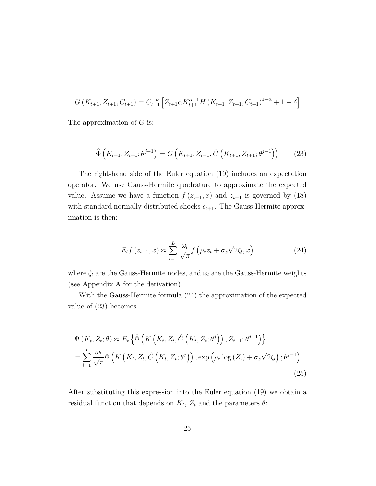$$
G(K_{t+1}, Z_{t+1}, C_{t+1}) = C_{t+1}^{-\nu} \left[ Z_{t+1} \alpha K_{t+1}^{\alpha-1} H(K_{t+1}, Z_{t+1}, C_{t+1})^{1-\alpha} + 1 - \delta \right]
$$

The approximation of *G* is:

$$
\hat{\Phi}\left(K_{t+1}, Z_{t+1}; \theta^{j-1}\right) = G\left(K_{t+1}, Z_{t+1}, \hat{C}\left(K_{t+1}, Z_{t+1}; \theta^{j-1}\right)\right) \tag{23}
$$

The right-hand side of the Euler equation (19) includes an expectation operator. We use Gauss-Hermite quadrature to approximate the expected value. Assume we have a function  $f(z_{t+1},x)$  and  $z_{t+1}$  is governed by (18) with standard normally distributed shocks  $\epsilon_{t+1}$ . The Gauss-Hermite approximation is then:

$$
E_t f(z_{t+1}, x) \approx \sum_{l=1}^{L} \frac{\omega_l}{\sqrt{\pi}} f(\rho_z z_t + \sigma_z \sqrt{2} \zeta_l, x)
$$
 (24)

where  $\zeta_l$  are the Gauss-Hermite nodes, and  $\omega_l$  are the Gauss-Hermite weights (see Appendix A for the derivation).

With the Gauss-Hermite formula (24) the approximation of the expected value of (23) becomes:

$$
\Psi(K_t, Z_t; \theta) \approx E_t \left\{ \hat{\Phi}\left(K\left(K_t, Z_t, \hat{C}\left(K_t, Z_t; \theta^j\right)\right), Z_{t+1}; \theta^{j-1}\right) \right\}
$$
\n
$$
= \sum_{l=1}^L \frac{\omega_l}{\sqrt{\pi}} \hat{\Phi}\left(K\left(K_t, Z_t, \hat{C}\left(K_t, Z_t; \theta^j\right)\right), \exp\left(\rho_z \log\left(Z_t\right) + \sigma_z \sqrt{2}\zeta_l\right); \theta^{j-1}\right) \tag{25}
$$

After substituting this expression into the Euler equation (19) we obtain a residual function that depends on  $K_t$ ,  $Z_t$  and the parameters  $\theta$ :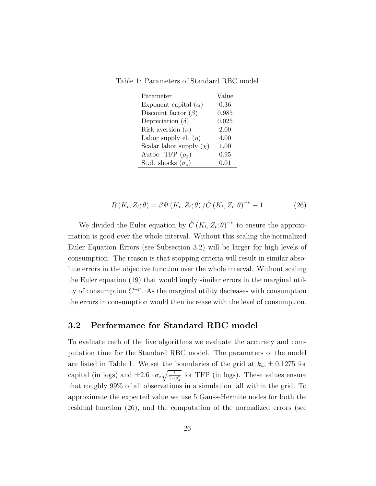Table 1: Parameters of Standard RBC model

| Parameter                    | Value |
|------------------------------|-------|
| Exponent capital $(\alpha)$  | 0.36  |
| Discount factor $(\beta)$    | 0.985 |
| Depreciation $(\delta)$      | 0.025 |
| Risk aversion $(\nu)$        | 2.00  |
| Labor supply el. $(\eta)$    | 4.00  |
| Scalar labor supply $(\chi)$ | 1.00  |
| Autoc. TFP $(\rho_z)$        | 0.95  |
| St.d. shocks $(\sigma_z)$    | 0.01  |

$$
R(K_t, Z_t; \theta) = \beta \Psi(K_t, Z_t; \theta) / \hat{C}(K_t, Z_t; \theta)^{-\nu} - 1
$$
\n(26)

We divided the Euler equation by  $\hat{C}(K_t, Z_t; \theta)^{-\nu}$  to ensure the approximation is good over the whole interval. Without this scaling the normalized Euler Equation Errors (see Subsection 3.2) will be larger for high levels of consumption. The reason is that stopping criteria will result in similar absolute errors in the objective function over the whole interval. Without scaling the Euler equation (19) that would imply similar errors in the marginal utility of consumption  $C^{-\nu}$ . As the marginal utility decreases with consumption the errors in consumption would then increase with the level of consumption.

#### **3.2 Performance for Standard RBC model**

To evaluate each of the five algorithms we evaluate the accuracy and computation time for the Standard RBC model. The parameters of the model are listed in Table 1. We set the boundaries of the grid at  $k_{ss} \pm 0.1275$  for capital (in logs) and  $\pm 2.6 \cdot \sigma_z \sqrt{\frac{1}{1-\rho_z^2}}$  for TFP (in logs). These values ensure that roughly 99% of all observations in a simulation fall within the grid. To approximate the expected value we use 5 Gauss-Hermite nodes for both the residual function (26), and the computation of the normalized errors (see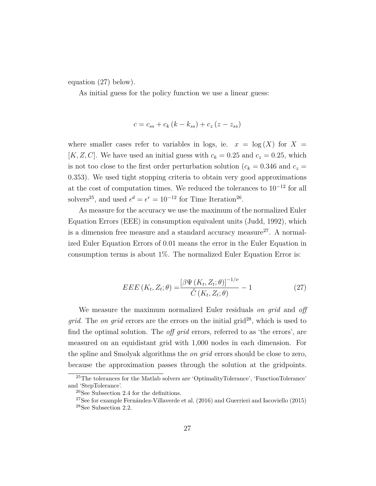equation (27) below).

As initial guess for the policy function we use a linear guess:

$$
c = c_{ss} + c_k (k - k_{ss}) + c_z (z - z_{ss})
$$

where smaller cases refer to variables in logs, ie.  $x = \log(X)$  for  $X =$ [*K, Z, C*]. We have used an initial guess with  $c_k = 0.25$  and  $c_z = 0.25$ , which is not too close to the first order perturbation solution ( $c_k = 0.346$  and  $c_z =$ 0*.*353). We used tight stopping criteria to obtain very good approximations at the cost of computation times. We reduced the tolerances to  $10^{-12}$  for all solvers<sup>25</sup>, and used  $\epsilon^d = \epsilon^r = 10^{-12}$  for Time Iteration<sup>26</sup>.

As measure for the accuracy we use the maximum of the normalized Euler Equation Errors (EEE) in consumption equivalent units (Judd, 1992), which is a dimension free measure and a standard accuracy measure<sup>27</sup>. A normalized Euler Equation Errors of 0.01 means the error in the Euler Equation in consumption terms is about 1%. The normalized Euler Equation Error is:

$$
EEE\left(K_t, Z_t; \theta\right) = \frac{\left[\beta\Psi\left(K_t, Z_t; \theta\right)\right]^{-1/\nu}}{\hat{C}\left(K_t, Z_t; \theta\right)} - 1\tag{27}
$$

We measure the maximum normalized Euler residuals *on grid* and *off grid*. The *on grid* errors are the errors on the initial grid<sup>28</sup>, which is used to find the optimal solution. The *off grid* errors, referred to as 'the errors', are measured on an equidistant grid with 1,000 nodes in each dimension. For the spline and Smolyak algorithms the *on grid* errors should be close to zero, because the approximation passes through the solution at the gridpoints.

<sup>25</sup>The tolerances for the Matlab solvers are 'OptimalityTolerance', 'FunctionTolerance' and 'StepTolerance'.

<sup>26</sup>See Subsection 2.4 for the definitions.

<sup>27</sup>See for example Fernández-Villaverde et al. (2016) and Guerrieri and Iacoviello (2015) <sup>28</sup>See Subsection 2.2.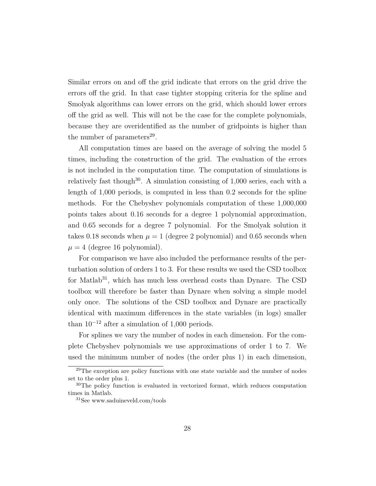Similar errors on and off the grid indicate that errors on the grid drive the errors off the grid. In that case tighter stopping criteria for the spline and Smolyak algorithms can lower errors on the grid, which should lower errors off the grid as well. This will not be the case for the complete polynomials, because they are overidentified as the number of gridpoints is higher than the number of parameters $^{29}$ .

All computation times are based on the average of solving the model 5 times, including the construction of the grid. The evaluation of the errors is not included in the computation time. The computation of simulations is relatively fast though<sup>30</sup>. A simulation consisting of  $1,000$  series, each with a length of 1,000 periods, is computed in less than 0.2 seconds for the spline methods. For the Chebyshev polynomials computation of these 1,000,000 points takes about 0.16 seconds for a degree 1 polynomial approximation, and 0.65 seconds for a degree 7 polynomial. For the Smolyak solution it takes 0.18 seconds when  $\mu = 1$  (degree 2 polynomial) and 0.65 seconds when  $\mu = 4$  (degree 16 polynomial).

For comparison we have also included the performance results of the perturbation solution of orders 1 to 3. For these results we used the CSD toolbox for Matlab<sup>31</sup>, which has much less overhead costs than Dynare. The CSD toolbox will therefore be faster than Dynare when solving a simple model only once. The solutions of the CSD toolbox and Dynare are practically identical with maximum differences in the state variables (in logs) smaller than  $10^{-12}$  after a simulation of 1,000 periods.

For splines we vary the number of nodes in each dimension. For the complete Chebyshev polynomials we use approximations of order 1 to 7. We used the minimum number of nodes (the order plus 1) in each dimension,

<sup>&</sup>lt;sup>29</sup>The exception are policy functions with one state variable and the number of nodes set to the order plus 1.

<sup>30</sup>The policy function is evaluated in vectorized format, which reduces computation times in Matlab.

<sup>31</sup>See www.saduineveld.com/tools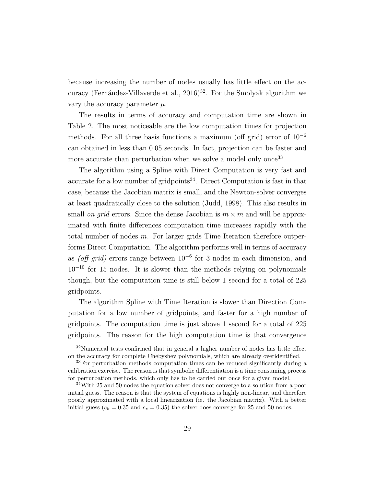because increasing the number of nodes usually has little effect on the accuracy (Fernández-Villaverde et al.,  $2016$ <sup>32</sup>. For the Smolyak algorithm we vary the accuracy parameter  $\mu$ .

The results in terms of accuracy and computation time are shown in Table 2. The most noticeable are the low computation times for projection methods. For all three basis functions a maximum (off grid) error of  $10^{-6}$ can obtained in less than 0.05 seconds. In fact, projection can be faster and more accurate than perturbation when we solve a model only once<sup>33</sup>.

The algorithm using a Spline with Direct Computation is very fast and accurate for a low number of gridpoints<sup>34</sup>. Direct Computation is fast in that case, because the Jacobian matrix is small, and the Newton-solver converges at least quadratically close to the solution (Judd, 1998). This also results in small *on grid* errors. Since the dense Jacobian is  $m \times m$  and will be approximated with finite differences computation time increases rapidly with the total number of nodes *m*. For larger grids Time Iteration therefore outperforms Direct Computation. The algorithm performs well in terms of accuracy as *(off grid)* errors range between 10<sup>−</sup><sup>6</sup> for 3 nodes in each dimension, and  $10^{-10}$  for 15 nodes. It is slower than the methods relying on polynomials though, but the computation time is still below 1 second for a total of 225 gridpoints.

The algorithm Spline with Time Iteration is slower than Direction Computation for a low number of gridpoints, and faster for a high number of gridpoints. The computation time is just above 1 second for a total of 225 gridpoints. The reason for the high computation time is that convergence

<sup>32</sup>Numerical tests confirmed that in general a higher number of nodes has little effect on the accuracy for complete Chebyshev polynomials, which are already overidentified.

<sup>&</sup>lt;sup>33</sup>For perturbation methods computation times can be reduced significantly during a calibration exercise. The reason is that symbolic differentiation is a time consuming process for perturbation methods, which only has to be carried out once for a given model.

<sup>34</sup>With 25 and 50 nodes the equation solver does not converge to a solution from a poor initial guess. The reason is that the system of equations is highly non-linear, and therefore poorly approximated with a local linearization (ie. the Jacobian matrix). With a better initial guess ( $c_k = 0.35$  and  $c_z = 0.35$ ) the solver does converge for 25 and 50 nodes.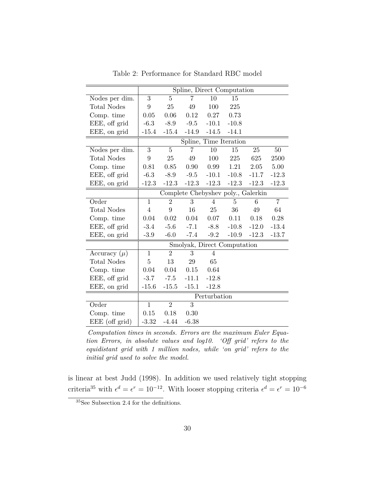|                    | Spline, Direct Computation         |                             |                |                |                |         |                |  |  |
|--------------------|------------------------------------|-----------------------------|----------------|----------------|----------------|---------|----------------|--|--|
| Nodes per dim.     | 3                                  | 5                           | $\overline{7}$ | 10             | 15             |         |                |  |  |
| <b>Total Nodes</b> | 9                                  | 25                          | 49             | 100            | 225            |         |                |  |  |
| Comp. time         | 0.05<br>0.06                       |                             | 0.12           | 0.27           | 0.73           |         |                |  |  |
| EEE, off grid      | $-6.3$                             | $-8.9$                      | $-9.5$         | $-10.1$        | $-10.8$        |         |                |  |  |
| EEE, on grid       | $-15.4$                            | $-15.4$                     | $-14.9$        | $-14.5$        | $-14.1$        |         |                |  |  |
|                    |                                    | Spline, Time Iteration      |                |                |                |         |                |  |  |
| Nodes per dim.     | 3                                  | $\overline{5}$              | 7              | 10             | 15             | 25      | 50             |  |  |
| <b>Total Nodes</b> | 9                                  | 25                          | 49             | 100            | $225\,$        | 625     | 2500           |  |  |
| Comp. time         | 0.81                               | 0.85                        | 0.90           | 0.99           | 1.21           | 2.05    | 5.00           |  |  |
| EEE, off grid      | $-6.3$                             | $-8.9$                      | $-9.5$         | $-10.1$        | $-10.8$        | $-11.7$ | $-12.3$        |  |  |
| EEE, on grid       | $-12.3$                            | $-12.3$                     | $-12.3$        | $-12.3$        | $-12.3$        | $-12.3$ | $-12.3$        |  |  |
|                    | Complete Chebyshev poly., Galerkin |                             |                |                |                |         |                |  |  |
| Order              | $\mathbf{1}$<br>$\overline{2}$     |                             | 3              | $\overline{4}$ | $\overline{5}$ | 6       | $\overline{7}$ |  |  |
| <b>Total Nodes</b> | $\overline{4}$                     | 9                           | 16             | 25             | 36             | 49      | 64             |  |  |
| Comp. time         | 0.04                               | $0.02\,$                    | 0.04           | 0.07           | 0.11           | 0.18    | 0.28           |  |  |
| EEE, off grid      | $-3.4$                             | $-5.6$                      | $-7.1$         | $-8.8$         | $-10.8$        | $-12.0$ | $-13.4$        |  |  |
| EEE, on grid       | $-3.9$                             | $-6.0$                      |                | $-9.2$         | $-10.9$        | $-12.3$ | $-13.7$        |  |  |
|                    |                                    | Smolyak, Direct Computation |                |                |                |         |                |  |  |
| Accuracy $(\mu)$   | $\mathbf{1}$                       | $\overline{2}$              | 3              | $\overline{4}$ |                |         |                |  |  |
| <b>Total Nodes</b> | $\bf 5$                            | 13                          | 29             | 65             |                |         |                |  |  |
| Comp. time         | 0.04                               | 0.04                        | 0.15           | 0.64           |                |         |                |  |  |
| EEE, off grid      | $-3.7$                             | $-7.5$                      | $-11.1$        | $-12.8$        |                |         |                |  |  |
| EEE, on grid       | $-15.6$                            | $-15.5$                     |                | $-12.8$        |                |         |                |  |  |
|                    | Perturbation                       |                             |                |                |                |         |                |  |  |
| Order              | $\mathbf{1}$                       | $\overline{2}$              | 3              |                |                |         |                |  |  |
| Comp. time         | 0.15                               | 0.18                        | 0.30           |                |                |         |                |  |  |
| EEE (off grid)     | $-3.32$                            | $-4.44$                     | $-6.38$        |                |                |         |                |  |  |

Table 2: Performance for Standard RBC model

*Computation times in seconds. Errors are the maximum Euler Equation Errors, in absolute values and log10. 'Off grid' refers to the equidistant grid with 1 million nodes, while 'on grid' refers to the initial grid used to solve the model.*

is linear at best Judd (1998). In addition we used relatively tight stopping criteria<sup>35</sup> with  $\epsilon^d = \epsilon^r = 10^{-12}$ . With looser stopping criteria  $\epsilon^d = \epsilon^r = 10^{-6}$ 

 $35$ See Subsection 2.4 for the definitions.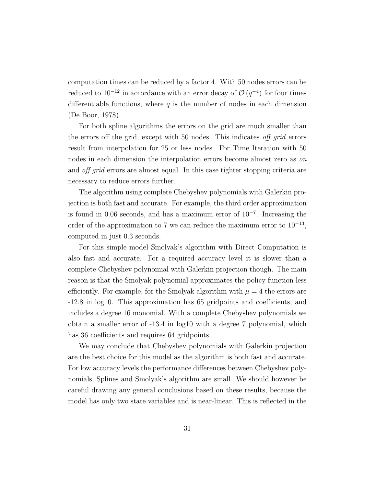computation times can be reduced by a factor 4. With 50 nodes errors can be reduced to 10<sup>-12</sup> in accordance with an error decay of  $\mathcal{O}(q^{-4})$  for four times differentiable functions, where  $q$  is the number of nodes in each dimension (De Boor, 1978).

For both spline algorithms the errors on the grid are much smaller than the errors off the grid, except with 50 nodes. This indicates *off grid* errors result from interpolation for 25 or less nodes. For Time Iteration with 50 nodes in each dimension the interpolation errors become almost zero as *on* and *off grid* errors are almost equal. In this case tighter stopping criteria are necessary to reduce errors further.

The algorithm using complete Chebyshev polynomials with Galerkin projection is both fast and accurate. For example, the third order approximation is found in 0.06 seconds, and has a maximum error of  $10^{-7}$ . Increasing the order of the approximation to 7 we can reduce the maximum error to  $10^{-13}$ , computed in just 0.3 seconds.

For this simple model Smolyak's algorithm with Direct Computation is also fast and accurate. For a required accuracy level it is slower than a complete Chebyshev polynomial with Galerkin projection though. The main reason is that the Smolyak polynomial approximates the policy function less efficiently. For example, for the Smolyak algorithm with  $\mu = 4$  the errors are -12.8 in log10. This approximation has 65 gridpoints and coefficients, and includes a degree 16 monomial. With a complete Chebyshev polynomials we obtain a smaller error of -13.4 in log10 with a degree 7 polynomial, which has 36 coefficients and requires 64 gridpoints.

We may conclude that Chebyshev polynomials with Galerkin projection are the best choice for this model as the algorithm is both fast and accurate. For low accuracy levels the performance differences between Chebyshev polynomials, Splines and Smolyak's algorithm are small. We should however be careful drawing any general conclusions based on these results, because the model has only two state variables and is near-linear. This is reflected in the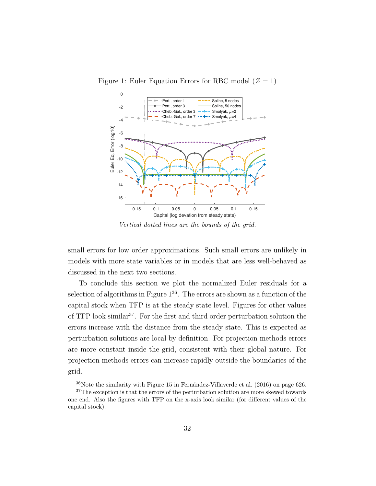

Figure 1: Euler Equation Errors for RBC model  $(Z = 1)$ 

*Vertical dotted lines are the bounds of the grid.*

small errors for low order approximations. Such small errors are unlikely in models with more state variables or in models that are less well-behaved as discussed in the next two sections.

To conclude this section we plot the normalized Euler residuals for a selection of algorithms in Figure  $1^{36}$ . The errors are shown as a function of the capital stock when TFP is at the steady state level. Figures for other values of TFP look similar<sup>37</sup>. For the first and third order perturbation solution the errors increase with the distance from the steady state. This is expected as perturbation solutions are local by definition. For projection methods errors are more constant inside the grid, consistent with their global nature. For projection methods errors can increase rapidly outside the boundaries of the grid.

 $36$ Note the similarity with Figure 15 in Fernández-Villaverde et al. (2016) on page 626.

<sup>&</sup>lt;sup>37</sup>The exception is that the errors of the perturbation solution are more skewed towards one end. Also the figures with TFP on the x-axis look similar (for different values of the capital stock).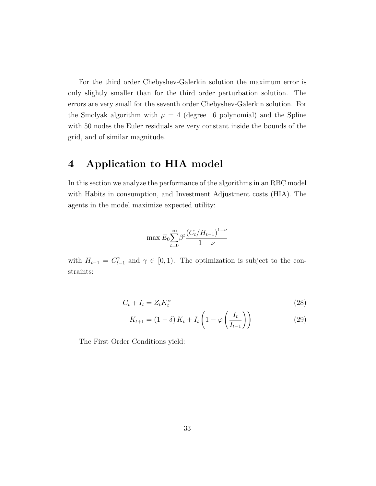For the third order Chebyshev-Galerkin solution the maximum error is only slightly smaller than for the third order perturbation solution. The errors are very small for the seventh order Chebyshev-Galerkin solution. For the Smolyak algorithm with  $\mu = 4$  (degree 16 polynomial) and the Spline with 50 nodes the Euler residuals are very constant inside the bounds of the grid, and of similar magnitude.

# **4 Application to HIA model**

In this section we analyze the performance of the algorithms in an RBC model with Habits in consumption, and Investment Adjustment costs (HIA). The agents in the model maximize expected utility:

$$
\max E_0 \sum_{t=0}^{\infty} \beta^t \frac{(C_t/H_{t-1})^{1-\nu}}{1-\nu}
$$

with  $H_{t-1} = C_{t-1}^{\gamma}$  and  $\gamma \in [0,1)$ . The optimization is subject to the constraints:

$$
C_t + I_t = Z_t K_t^{\alpha} \tag{28}
$$

$$
K_{t+1} = (1 - \delta) K_t + I_t \left( 1 - \varphi \left( \frac{I_t}{I_{t-1}} \right) \right) \tag{29}
$$

The First Order Conditions yield: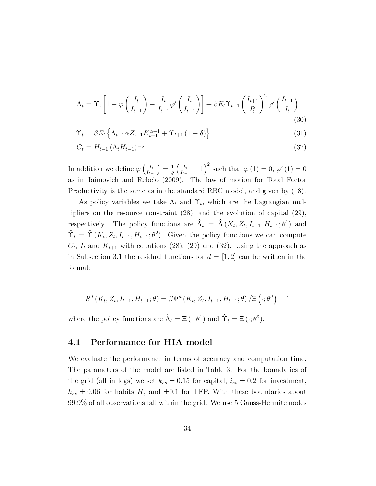$$
\Lambda_t = \Upsilon_t \left[ 1 - \varphi \left( \frac{I_t}{I_{t-1}} \right) - \frac{I_t}{I_{t-1}} \varphi' \left( \frac{I_t}{I_{t-1}} \right) \right] + \beta E_t \Upsilon_{t+1} \left( \frac{I_{t+1}}{I_t^2} \right)^2 \varphi' \left( \frac{I_{t+1}}{I_t} \right)
$$
\n(30)

$$
\Upsilon_{t} = \beta E_{t} \left\{ \Lambda_{t+1} \alpha Z_{t+1} K_{t+1}^{\alpha - 1} + \Upsilon_{t+1} (1 - \delta) \right\}
$$
\n(31)

$$
C_t = H_{t-1} \left( \Lambda_t H_{t-1} \right)^{\frac{1}{-\nu}} \tag{32}
$$

In addition we define  $\varphi\left(\frac{I_t}{I_t}\right)$ *It*−<sup>1</sup>  $=\frac{1}{a}$ *%*  $\int$ *I<sub>t</sub>*  $\frac{I_t}{I_{t-1}} - 1$ <sup>2</sup> such that  $\varphi(1) = 0, \varphi'(1) = 0$ as in Jaimovich and Rebelo (2009). The law of motion for Total Factor Productivity is the same as in the standard RBC model, and given by (18).

As policy variables we take  $\Lambda_t$  and  $\Upsilon_t$ , which are the Lagrangian multipliers on the resource constraint (28), and the evolution of capital (29), respectively. The policy functions are  $\hat{\Lambda}_t = \hat{\Lambda}(K_t, Z_t, I_{t-1}, H_{t-1}; \theta^1)$  and  $\hat{\Upsilon}_t = \hat{\Upsilon}(K_t, Z_t, I_{t-1}, H_{t-1}; \theta^2)$ . Given the policy functions we can compute  $C_t$ ,  $I_t$  and  $K_{t+1}$  with equations (28), (29) and (32). Using the approach as in Subsection 3.1 the residual functions for  $d = \begin{bmatrix} 1 \\ 2 \end{bmatrix}$  can be written in the format:

$$
R^{d}(K_{t}, Z_{t}, I_{t-1}, H_{t-1}; \theta) = \beta \Psi^{d}(K_{t}, Z_{t}, I_{t-1}, H_{t-1}; \theta) / \Xi\left(\cdot; \theta^{d}\right) - 1
$$

where the policy functions are  $\hat{\Lambda}_t = \Xi(\cdot;\theta^1)$  and  $\hat{\Upsilon}_t = \Xi(\cdot;\theta^2)$ .

#### **4.1 Performance for HIA model**

We evaluate the performance in terms of accuracy and computation time. The parameters of the model are listed in Table 3. For the boundaries of the grid (all in logs) we set  $k_{ss} \pm 0.15$  for capital,  $i_{ss} \pm 0.2$  for investment,  $h_{ss} \pm 0.06$  for habits *H*, and  $\pm 0.1$  for TFP. With these boundaries about 99.9% of all observations fall within the grid. We use 5 Gauss-Hermite nodes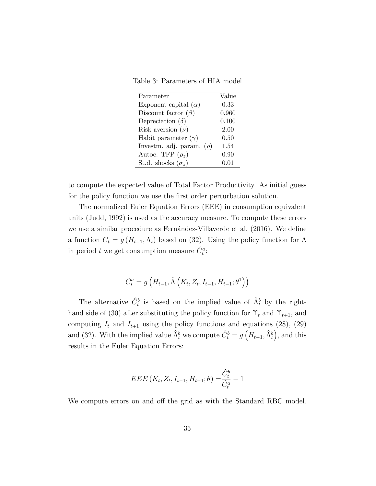Table 3: Parameters of HIA model

| Parameter                     | Value |
|-------------------------------|-------|
| Exponent capital $(\alpha)$   | 0.33  |
| Discount factor $(\beta)$     | 0.960 |
| Depreciation $(\delta)$       | 0.100 |
| Risk aversion $(\nu)$         | 2.00  |
| Habit parameter $(\gamma)$    | 0.50  |
| Investm. adj. param. $(\rho)$ | 1.54  |
| Autoc. TFP $(\rho_z)$         | 0.90  |
| St.d. shocks $(\sigma_z)$     | 0.01  |

to compute the expected value of Total Factor Productivity. As initial guess for the policy function we use the first order perturbation solution.

The normalized Euler Equation Errors (EEE) in consumption equivalent units (Judd, 1992) is used as the accuracy measure. To compute these errors we use a similar procedure as Fernández-Villaverde et al. (2016). We define a function  $C_t = g(H_{t-1}, \Lambda_t)$  based on (32). Using the policy function for  $\Lambda$ in period *t* we get consumption measure  $\hat{C}_t^a$ :

$$
\hat{C}_t^a = g\left(H_{t-1}, \hat{\Lambda}\left(K_t, Z_t, I_{t-1}, H_{t-1}; \theta^1\right)\right)
$$

The alternative  $\hat{C}^b_t$  is based on the implied value of  $\hat{\Lambda}^b_t$  by the righthand side of (30) after substituting the policy function for  $\Upsilon_t$  and  $\Upsilon_{t+1}$ , and computing  $I_t$  and  $I_{t+1}$  using the policy functions and equations (28), (29) and (32). With the implied value  $\hat{\Lambda}^b_t$  we compute  $\hat{C}^b_t = g\left(H_{t-1}, \hat{\Lambda}^b_t\right)$ , and this results in the Euler Equation Errors:

$$
EEE\left(K_{t}, Z_{t}, I_{t-1}, H_{t-1}; \theta\right) = \frac{\hat{C}_{t}^{b}}{\hat{C}_{t}^{a}} - 1
$$

We compute errors on and off the grid as with the Standard RBC model.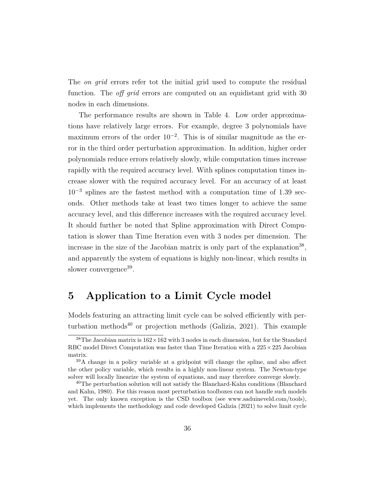The *on grid* errors refer tot the initial grid used to compute the residual function. The *off grid* errors are computed on an equidistant grid with 30 nodes in each dimensions.

The performance results are shown in Table 4. Low order approximations have relatively large errors. For example, degree 3 polynomials have maximum errors of the order  $10^{-2}$ . This is of similar magnitude as the error in the third order perturbation approximation. In addition, higher order polynomials reduce errors relatively slowly, while computation times increase rapidly with the required accuracy level. With splines computation times increase slower with the required accuracy level. For an accuracy of at least 10<sup>−</sup><sup>3</sup> splines are the fastest method with a computation time of 1.39 seconds. Other methods take at least two times longer to achieve the same accuracy level, and this difference increases with the required accuracy level. It should further be noted that Spline approximation with Direct Computation is slower than Time Iteration even with 3 nodes per dimension. The increase in the size of the Jacobian matrix is only part of the explanation<sup>38</sup>, and apparently the system of equations is highly non-linear, which results in slower convergence<sup>39</sup>.

## **5 Application to a Limit Cycle model**

Models featuring an attracting limit cycle can be solved efficiently with perturbation methods<sup>40</sup> or projection methods (Galizia, 2021). This example

<sup>&</sup>lt;sup>38</sup>The Jacobian matrix is  $162 \times 162$  with 3 nodes in each dimension, but for the Standard RBC model Direct Computation was faster than Time Iteration with a  $225 \times 225$  Jacobian matrix.

<sup>39</sup>A change in a policy variable at a gridpoint will change the spline, and also affect the other policy variable, which results in a highly non-linear system. The Newton-type solver will locally linearize the system of equations, and may therefore converge slowly.

<sup>&</sup>lt;sup>40</sup>The perturbation solution will not satisfy the Blanchard-Kahn conditions (Blanchard and Kahn, 1980). For this reason most perturbation toolboxes can not handle such models yet. The only known exception is the CSD toolbox (see www.saduineveld.com/tools), which implements the methodology and code developed Galizia  $(2021)$  to solve limit cycle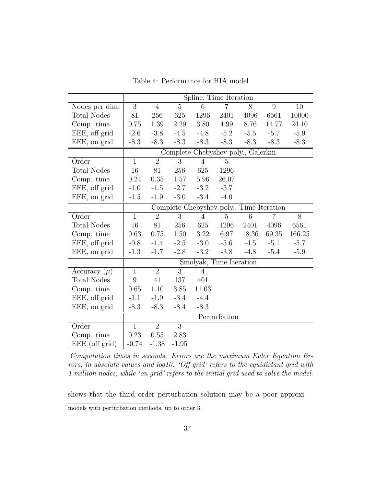|                    | Spline, Time Iteration                   |                                    |                |                |                         |        |                |        |  |  |  |
|--------------------|------------------------------------------|------------------------------------|----------------|----------------|-------------------------|--------|----------------|--------|--|--|--|
| Nodes per dim.     | $\overline{3}$                           | $\overline{4}$                     | $\overline{5}$ | 6              | $\overline{7}$          | 8      | 9              | 10     |  |  |  |
| <b>Total Nodes</b> | 81                                       | 256                                | 625            | 1296           | 2401                    | 4096   | 6561           | 10000  |  |  |  |
| Comp. time         | 0.75                                     | 1.39                               | 2.29           | 3.80           | 4.99                    | 8.76   | 14.77          | 24.10  |  |  |  |
| EEE, off grid      | $-2.6$                                   | $-3.8$                             | $-4.5$         | $-4.8$         | $-5.2$                  | $-5.5$ | $-5.7$         | $-5.9$ |  |  |  |
| EEE, on grid       | $-8.3$                                   | $-8.3$                             | $-8.3$         | $-8.3$         | $-8.3$                  | $-8.3$ | $-8.3$         | $-8.3$ |  |  |  |
|                    |                                          | Complete Chebyshev poly., Galerkin |                |                |                         |        |                |        |  |  |  |
| Order              | $\overline{1}$                           | $\overline{2}$                     | 3              | $\overline{4}$ | $\overline{5}$          |        |                |        |  |  |  |
| <b>Total Nodes</b> | 16                                       | 81                                 | 256            | 625            | 1296                    |        |                |        |  |  |  |
| Comp. time         | 0.24                                     | 0.35                               | 1.57           | 5.96           | 26.07                   |        |                |        |  |  |  |
| EEE, off grid      | $-1.0$                                   | $-1.5$                             | $-2.7$         | $-3.2$         | $-3.7$                  |        |                |        |  |  |  |
| EEE, on grid       | $-1.5$                                   | $-1.9$                             | $-3.0$         | $-3.4$         | $-4.0$                  |        |                |        |  |  |  |
|                    | Complete Chebyshev poly., Time Iteration |                                    |                |                |                         |        |                |        |  |  |  |
| Order              | $\overline{1}$                           | $\overline{2}$                     | $\overline{3}$ | $\overline{4}$ | 5                       | 6      | $\overline{7}$ | 8      |  |  |  |
| <b>Total Nodes</b> | 16                                       | 81                                 | 256            | 625            | 1296                    | 2401   | 4096           | 6561   |  |  |  |
| Comp. time         | 0.63                                     | 0.75                               | 1.50           | 3.22           | 6.97                    | 18.36  | 69.35          | 166.25 |  |  |  |
| EEE, off grid      | $-0.8$                                   | $-1.4$                             | $-2.5$         | $-3.0$         | $-3.6$                  | $-4.5$ | $-5.1$         | $-5.7$ |  |  |  |
| EEE, on grid       | $-1.3$                                   | $-1.7$                             | $-2.8$         | $-3.2$         | $-3.8$                  | $-4.8$ | $-5.4$         | $-5.9$ |  |  |  |
|                    |                                          |                                    |                |                | Smolyak, Time Iteration |        |                |        |  |  |  |
| Accuracy $(\mu)$   | $\mathbf{1}$                             | $\overline{2}$                     | 3              | $\overline{4}$ |                         |        |                |        |  |  |  |
| <b>Total Nodes</b> | $\boldsymbol{9}$                         | 41                                 | 137            | 401            |                         |        |                |        |  |  |  |
| Comp. time         | 0.65                                     | 1.10                               | 3.85           | 11.03          |                         |        |                |        |  |  |  |
| EEE, off grid      | $-1.1$                                   | $-1.9$                             | $-3.4$         | $-4.4$         |                         |        |                |        |  |  |  |
| EEE, on grid       | $-8.3$                                   | $-8.3$                             | $-8.4$         | $-8.3$         |                         |        |                |        |  |  |  |
|                    | Perturbation                             |                                    |                |                |                         |        |                |        |  |  |  |
| Order              | $\mathbf{1}$                             | $\overline{2}$                     | $\overline{3}$ |                |                         |        |                |        |  |  |  |
| Comp. time         | 0.23                                     | 0.55                               | 2.83           |                |                         |        |                |        |  |  |  |
| $EEE$ (off grid)   | $-0.74$                                  | $-1.38$                            | $-1.95$        |                |                         |        |                |        |  |  |  |

Table 4: Performance for HIA model

*Computation times in seconds. Errors are the maximum Euler Equation Errors, in absolute values and log10. 'Off grid' refers to the equidistant grid with 1 million nodes, while 'on grid' refers to the initial grid used to solve the model.*

shows that the third order perturbation solution may be a poor approxi-

models with perturbation methods, up to order 3.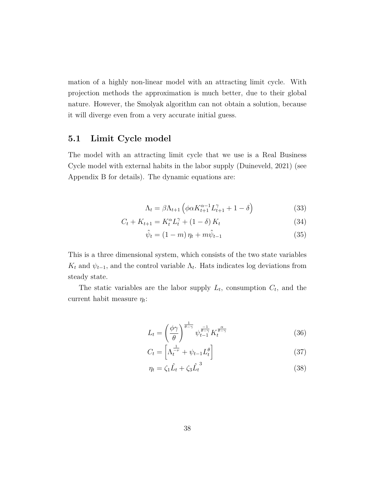mation of a highly non-linear model with an attracting limit cycle. With projection methods the approximation is much better, due to their global nature. However, the Smolyak algorithm can not obtain a solution, because it will diverge even from a very accurate initial guess.

### **5.1 Limit Cycle model**

The model with an attracting limit cycle that we use is a Real Business Cycle model with external habits in the labor supply (Duineveld, 2021) (see Appendix B for details). The dynamic equations are:

$$
\Lambda_t = \beta \Lambda_{t+1} \left( \phi \alpha K_{t+1}^{\alpha - 1} L_{t+1}^{\gamma} + 1 - \delta \right)
$$
\n(33)

$$
C_t + K_{t+1} = K_t^{\alpha} L_t^{\gamma} + (1 - \delta) K_t
$$
\n(34)

$$
\hat{\psi}_t = (1 - m)\,\eta_t + m\hat{\psi}_{t-1} \tag{35}
$$

This is a three dimensional system, which consists of the two state variables  $K_t$  and  $\psi_{t-1}$ , and the control variable  $\Lambda_t$ . Hats indicates log deviations from steady state.

The static variables are the labor supply  $L_t$ , consumption  $C_t$ , and the current habit measure *η<sup>t</sup>* :

$$
L_t = \left(\frac{\phi\gamma}{\theta}\right)^{\frac{1}{\theta-\gamma}} \psi_{t-1}^{\frac{-1}{\theta-\gamma}} K_t^{\frac{\alpha}{\theta-\gamma}}
$$
(36)

$$
C_t = \left[ \Lambda_t^{\frac{1}{-\nu}} + \psi_{t-1} L_t^{\theta} \right]
$$
 (37)

$$
\eta_t = \zeta_1 \hat{L}_t + \zeta_3 \hat{L}_t^3 \tag{38}
$$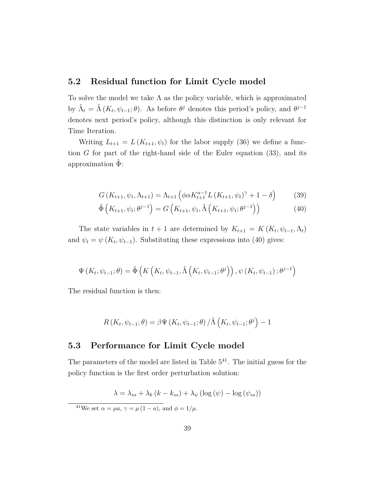#### **5.2 Residual function for Limit Cycle model**

To solve the model we take  $\Lambda$  as the policy variable, which is approximated by  $\hat{\Lambda}_t = \hat{\Lambda}(K_t, \psi_{t-1}; \theta)$ . As before  $\theta^j$  denotes this period's policy, and  $\theta^{j-1}$ denotes next period's policy, although this distinction is only relevant for Time Iteration.

Writing  $L_{t+1} = L(K_{t+1}, \psi_t)$  for the labor supply (36) we define a function *G* for part of the right-hand side of the Euler equation (33), and its approximation  $\Phi$ :

$$
G(K_{t+1}, \psi_t, \Lambda_{t+1}) = \Lambda_{t+1} \left( \phi \alpha K_{t+1}^{\alpha-1} L(K_{t+1}, \psi_t)^{\gamma} + 1 - \delta \right)
$$
 (39)

$$
\hat{\Phi}\left(K_{t+1}, \psi_t; \theta^{j-1}\right) = G\left(K_{t+1}, \psi_t, \hat{\Lambda}\left(K_{t+1}, \psi_t; \theta^{j-1}\right)\right) \tag{40}
$$

The state variables in  $t + 1$  are determined by  $K_{t+1} = K(K_t, \psi_{t-1}, \Lambda_t)$ and  $\psi_t = \psi(K_t, \psi_{t-1})$ . Substituting these expressions into (40) gives:

$$
\Psi(K_t, \psi_{t-1}; \theta) = \hat{\Phi}\left(K\left(K_t, \psi_{t-1}, \hat{\Lambda}\left(K_t, \psi_{t-1}; \theta^j\right)\right), \psi\left(K_t, \psi_{t-1}\right); \theta^{j-1}\right)
$$

The residual function is then:

$$
R(K_t, \psi_{t-1}; \theta) = \beta \Psi(K_t, \psi_{t-1}; \theta) / \hat{\Lambda}(K_t, \psi_{t-1}; \theta^j) - 1
$$

### **5.3 Performance for Limit Cycle model**

The parameters of the model are listed in Table  $5<sup>41</sup>$ . The initial guess for the policy function is the first order perturbation solution:

$$
\lambda = \lambda_{ss} + \lambda_k (k - k_{ss}) + \lambda_{\psi} (\log (\psi) - \log (\psi_{ss}))
$$

<sup>41</sup>We set  $\alpha = \mu a$ ,  $\gamma = \mu (1 - a)$ , and  $\phi = 1/\mu$ .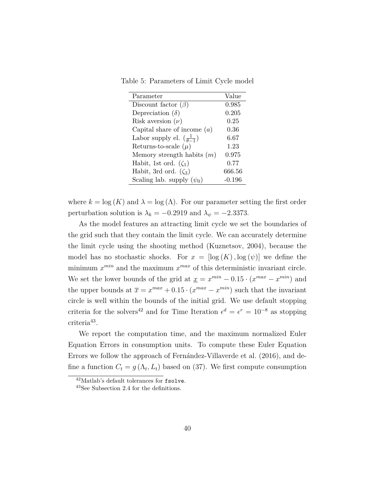Table 5: Parameters of Limit Cycle model

| Parameter                                          | Value  |
|----------------------------------------------------|--------|
| Discount factor $(\beta)$                          | 0.985  |
| Depreciation $(\delta)$                            | 0.205  |
| Risk aversion $(\nu)$                              | 0.25   |
| Capital share of income $(a)$                      | 0.36   |
| Labor supply el. $\left(\frac{1}{\theta-1}\right)$ | 6.67   |
| Returns-to-scale $(\mu)$                           | 1.23   |
| Memory strength habits $(m)$                       | 0.975  |
| Habit, 1st ord. $(\zeta_1)$                        | 0.77   |
| Habit, 3rd ord. $(\zeta_3)$                        | 666.56 |
| Scaling lab. supply $(\psi_0)$                     | -0.196 |

where  $k = \log(K)$  and  $\lambda = \log(\Lambda)$ . For our parameter setting the first order perturbation solution is  $\lambda_k = -0.2919$  and  $\lambda_\psi = -2.3373$ .

As the model features an attracting limit cycle we set the boundaries of the grid such that they contain the limit cycle. We can accurately determine the limit cycle using the shooting method (Kuznetsov, 2004), because the model has no stochastic shocks. For  $x = [\log(K), \log(\psi)]$  we define the minimum  $x^{min}$  and the maximum  $x^{max}$  of this deterministic invariant circle. We set the lower bounds of the grid at  $\underline{x} = x^{min} - 0.15 \cdot (x^{max} - x^{min})$  and the upper bounds at  $\bar{x} = x^{max} + 0.15 \cdot (x^{max} - x^{min})$  such that the invariant circle is well within the bounds of the initial grid. We use default stopping criteria for the solvers<sup>42</sup> and for Time Iteration  $\epsilon^d = \epsilon^r = 10^{-8}$  as stopping criteria<sup>43</sup> .

We report the computation time, and the maximum normalized Euler Equation Errors in consumption units. To compute these Euler Equation Errors we follow the approach of Fernández-Villaverde et al. (2016), and define a function  $C_t = g(\Lambda_t, L_t)$  based on (37). We first compute consumption

<sup>42</sup>Matlab's default tolerances for fsolve.

<sup>43</sup>See Subsection 2.4 for the definitions.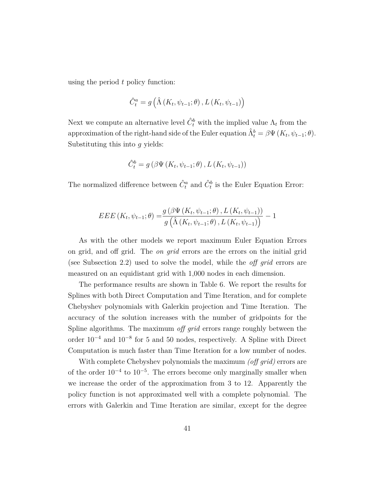using the period *t* policy function:

$$
\hat{C}_t^a = g\left(\hat{\Lambda}\left(K_t, \psi_{t-1}; \theta\right), L\left(K_t, \psi_{t-1}\right)\right)
$$

Next we compute an alternative level  $\hat{C}_t^b$  with the implied value  $\Lambda_t$  from the  $\alpha$  approximation of the right-hand side of the Euler equation  $\hat{\Lambda}^b_t = \beta \Psi(K_t, \psi_{t-1}; \theta)$ . Substituting this into *g* yields:

$$
\hat{C}_{t}^{b} = g\left(\beta\Psi\left(K_{t},\psi_{t-1};\theta\right),L\left(K_{t},\psi_{t-1}\right)\right)
$$

The normalized difference between  $\hat{C}_t^a$  and  $\hat{C}_t^b$  is the Euler Equation Error:

$$
EEE\left(K_{t}, \psi_{t-1}; \theta\right) = \frac{g\left(\beta \Psi\left(K_{t}, \psi_{t-1}; \theta\right), L\left(K_{t}, \psi_{t-1}\right)\right)}{g\left(\hat{\Lambda}\left(K_{t}, \psi_{t-1}; \theta\right), L\left(K_{t}, \psi_{t-1}\right)\right)} - 1
$$

As with the other models we report maximum Euler Equation Errors on grid, and off grid. The *on grid* errors are the errors on the initial grid (see Subsection 2.2) used to solve the model, while the *off grid* errors are measured on an equidistant grid with 1,000 nodes in each dimension.

The performance results are shown in Table 6. We report the results for Splines with both Direct Computation and Time Iteration, and for complete Chebyshev polynomials with Galerkin projection and Time Iteration. The accuracy of the solution increases with the number of gridpoints for the Spline algorithms. The maximum *off grid* errors range roughly between the order 10<sup>−</sup><sup>4</sup> and 10<sup>−</sup><sup>8</sup> for 5 and 50 nodes, respectively. A Spline with Direct Computation is much faster than Time Iteration for a low number of nodes.

With complete Chebyshev polynomials the maximum *(off grid)* errors are of the order  $10^{-4}$  to  $10^{-5}$ . The errors become only marginally smaller when we increase the order of the approximation from 3 to 12. Apparently the policy function is not approximated well with a complete polynomial. The errors with Galerkin and Time Iteration are similar, except for the degree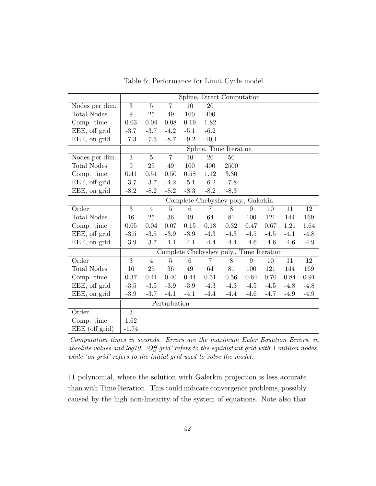|                    | Spline, Direct Computation         |                |                |                 |                                          |        |        |        |        |        |
|--------------------|------------------------------------|----------------|----------------|-----------------|------------------------------------------|--------|--------|--------|--------|--------|
| Nodes per dim.     | 3                                  | $\overline{5}$ | $\overline{7}$ | 10              | 20                                       |        |        |        |        |        |
| <b>Total Nodes</b> | 9                                  | 25             | 49             | 100             | 400                                      |        |        |        |        |        |
| Comp. time         | 0.03                               | 0.04           | 0.08           | 0.19            | 1.82                                     |        |        |        |        |        |
| EEE, off grid      | $-3.7$                             | $-3.7$         | $-4.2$         | $-5.1$          | $-6.2$                                   |        |        |        |        |        |
| EEE, on grid       | $-7.3$                             | $-7.3$         | $-8.7$         | $-9.2$          | $-10.1$                                  |        |        |        |        |        |
|                    |                                    |                |                |                 | Spline, Time Iteration                   |        |        |        |        |        |
| Nodes per dim.     | 3                                  | $\bf 5$        | $\overline{7}$ | 10              | 20                                       | 50     |        |        |        |        |
| <b>Total Nodes</b> | 9                                  | 25             | 49             | 100             | 400                                      | 2500   |        |        |        |        |
| Comp. time         | 0.41                               | 0.51           | 0.50           | 0.58            | 1.12                                     | 3.30   |        |        |        |        |
| EEE, off grid      | $-3.7$                             | $-3.7$         | $-4.2$         | $-5.1$          | $-6.2$                                   | $-7.8$ |        |        |        |        |
| EEE, on grid       | $-8.2$                             | $-8.2$         | $-8.2$         | $-8.3$          | $-8.2$                                   | $-8.3$ |        |        |        |        |
|                    | Complete Chebyshev poly., Galerkin |                |                |                 |                                          |        |        |        |        |        |
| Order              | 3                                  | $\overline{4}$ | $\overline{5}$ | $6\phantom{.}6$ | $\overline{7}$                           | 8      | 9      | 10     | 11     | 12     |
| <b>Total Nodes</b> | 16                                 | 25             | 36             | 49              | 64                                       | 81     | 100    | 121    | 144    | 169    |
| Comp. time         | $0.05\,$                           | 0.04           | 0.07           | 0.15            | 0.18                                     | 0.32   | 0.47   | 0.67   | 1.21   | 1.64   |
| EEE, off grid      | $-3.5$                             | $-3.5$         | $-3.9$         | $-3.9$          | $-4.3$                                   | $-4.3$ | $-4.5$ | $-4.5$ | $-4.1$ | $-4.8$ |
| EEE, on grid       | $-3.9$                             | $-3.7$         | $-4.1$         | $-4.1$          | $-4.4$                                   | $-4.4$ | $-4.6$ | $-4.6$ | $-4.6$ | $-4.9$ |
|                    |                                    |                |                |                 | Complete Chebyshev poly., Time Iteration |        |        |        |        |        |
| Order              | 3                                  | $\overline{4}$ | $\overline{5}$ | $6\phantom{.}6$ | $\overline{7}$                           | 8      | 9      | 10     | 11     | 12     |
| <b>Total Nodes</b> | 16                                 | 25             | 36             | 49              | 64                                       | 81     | 100    | 121    | 144    | 169    |
| Comp. time         | 0.37                               | 0.41           | 0.40           | 0.44            | 0.51                                     | 0.56   | 0.64   | 0.70   | 0.84   | 0.91   |
| EEE, off grid      | $-3.5$                             | $-3.5$         | $-3.9$         | $-3.9$          | $-4.3$                                   | $-4.3$ | $-4.5$ | $-4.5$ | $-4.8$ | $-4.8$ |
| EEE, on grid       | $-3.9$                             | $-3.7$         | $-4.1$         | $-4.1$          | $-4.4$                                   | $-4.4$ | $-4.6$ | $-4.7$ | $-4.9$ | $-4.9$ |
|                    | Perturbation                       |                |                |                 |                                          |        |        |        |        |        |
| Order              | 3                                  |                |                |                 |                                          |        |        |        |        |        |
| Comp. time         | 1.62                               |                |                |                 |                                          |        |        |        |        |        |
| EEE (off grid)     | $-1.74$                            |                |                |                 |                                          |        |        |        |        |        |

Table 6: Performance for Limit Cycle model

*Computation times in seconds. Errors are the maximum Euler Equation Errors, in absolute values and log10. 'Off grid' refers to the equidistant grid with 1 million nodes, while 'on grid' refers to the initial grid used to solve the model.*

11 polynomial, where the solution with Galerkin projection is less accurate than with Time Iteration. This could indicate convergence problems, possibly caused by the high non-linearity of the system of equations. Note also that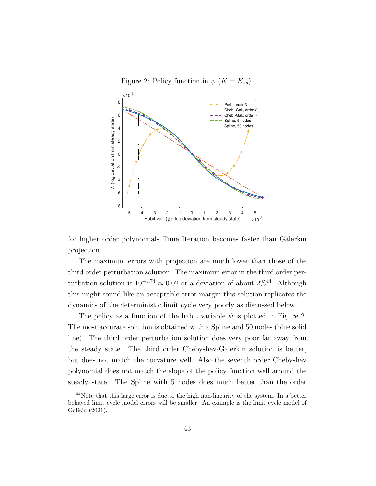Figure 2: Policy function in  $\psi$  ( $K = K_{ss}$ )



for higher order polynomials Time Iteration becomes faster than Galerkin projection.

The maximum errors with projection are much lower than those of the third order perturbation solution. The maximum error in the third order perturbation solution is  $10^{-1.74} \approx 0.02$  or a deviation of about  $2\%^{44}$ . Although this might sound like an acceptable error margin this solution replicates the dynamics of the deterministic limit cycle very poorly as discussed below.

The policy as a function of the habit variable  $\psi$  is plotted in Figure 2. The most accurate solution is obtained with a Spline and 50 nodes (blue solid line). The third order perturbation solution does very poor far away from the steady state. The third order Chebyshev-Galerkin solution is better, but does not match the curvature well. Also the seventh order Chebyshev polynomial does not match the slope of the policy function well around the steady state. The Spline with 5 nodes does much better than the order

<sup>44</sup>Note that this large error is due to the high non-linearity of the system. In a better behaved limit cycle model errors will be smaller. An example is the limit cycle model of Galizia (2021).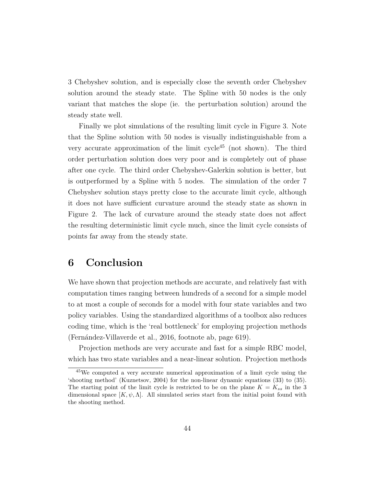3 Chebyshev solution, and is especially close the seventh order Chebyshev solution around the steady state. The Spline with 50 nodes is the only variant that matches the slope (ie. the perturbation solution) around the steady state well.

Finally we plot simulations of the resulting limit cycle in Figure 3. Note that the Spline solution with 50 nodes is visually indistinguishable from a very accurate approximation of the limit cycle<sup>45</sup> (not shown). The third order perturbation solution does very poor and is completely out of phase after one cycle. The third order Chebyshev-Galerkin solution is better, but is outperformed by a Spline with 5 nodes. The simulation of the order 7 Chebyshev solution stays pretty close to the accurate limit cycle, although it does not have sufficient curvature around the steady state as shown in Figure 2. The lack of curvature around the steady state does not affect the resulting deterministic limit cycle much, since the limit cycle consists of points far away from the steady state.

## **6 Conclusion**

We have shown that projection methods are accurate, and relatively fast with computation times ranging between hundreds of a second for a simple model to at most a couple of seconds for a model with four state variables and two policy variables. Using the standardized algorithms of a toolbox also reduces coding time, which is the 'real bottleneck' for employing projection methods (Fernández-Villaverde et al., 2016, footnote ab, page 619).

Projection methods are very accurate and fast for a simple RBC model, which has two state variables and a near-linear solution. Projection methods

<sup>45</sup>We computed a very accurate numerical approximation of a limit cycle using the 'shooting method' (Kuznetsov, 2004) for the non-linear dynamic equations (33) to (35). The starting point of the limit cycle is restricted to be on the plane  $K = K_{ss}$  in the 3 dimensional space  $[K, \psi, \Lambda]$ . All simulated series start from the initial point found with the shooting method.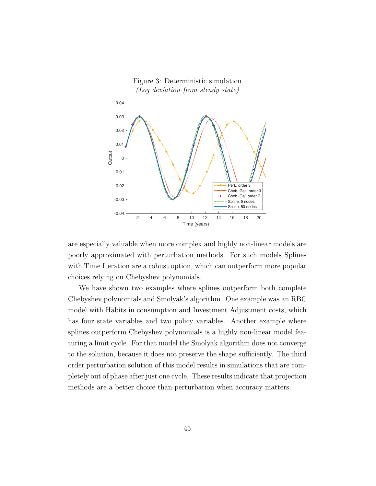

are especially valuable when more complex and highly non-linear models are poorly approximated with perturbation methods. For such models Splines with Time Iteration are a robust option, which can outperform more popular choices relying on Chebyshev polynomials.

We have shown two examples where splines outperform both complete Chebyshev polynomials and Smolyak's algorithm. One example was an RBC model with Habits in consumption and Investment Adjustment costs, which has four state variables and two policy variables. Another example where splines outperform Chebyshev polynomials is a highly non-linear model featuring a limit cycle. For that model the Smolyak algorithm does not converge to the solution, because it does not preserve the shape sufficiently. The third order perturbation solution of this model results in simulations that are completely out of phase after just one cycle. These results indicate that projection methods are a better choice than perturbation when accuracy matters.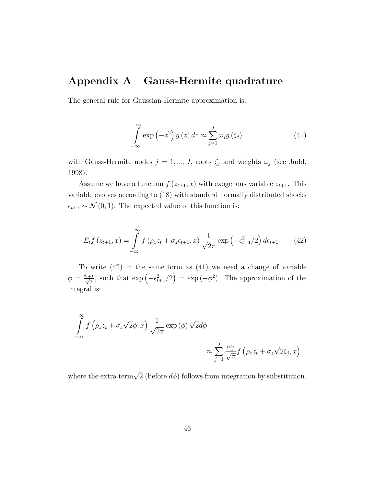### **Appendix A Gauss-Hermite quadrature**

The general rule for Gaussian-Hermite approximation is:

$$
\int_{-\infty}^{\infty} \exp\left(-z^2\right) g\left(z\right) dz \approx \sum_{j=1}^{J} \omega_j g\left(\zeta_j\right) \tag{41}
$$

with Gauss-Hermite nodes  $j = 1, ..., J$ , roots  $\zeta_j$  and weights  $\omega_j$  (see Judd, 1998).

Assume we have a function  $f(z_{t+1}, x)$  with exogenous variable  $z_{t+1}$ . This variable evolves according to (18) with standard normally distributed shocks  $\epsilon_{t+1} \sim \mathcal{N}(0, 1)$ . The expected value of this function is:

$$
E_t f(z_{t+1}, x) = \int_{-\infty}^{\infty} f(\rho_z z_t + \sigma_z \epsilon_{t+1}, x) \frac{1}{\sqrt{2\pi}} \exp\left(-\epsilon_{t+1}^2/2\right) d\epsilon_{t+1}
$$
 (42)

To write (42) in the same form as (41) we need a change of variable  $\phi = \frac{\epsilon_{t+1}}{\sqrt{2}}$ , such that  $\exp(-\epsilon_{t+1}^2/2) = \exp(-\phi^2)$ . The approximation of the integral is:

$$
\int_{-\infty}^{\infty} f\left(\rho_z z_t + \sigma_z \sqrt{2}\phi, x\right) \frac{1}{\sqrt{2\pi}} \exp\left(\phi\right) \sqrt{2}d\phi
$$
\n
$$
\approx \sum_{j=1}^{J} \frac{\omega_j}{\sqrt{\pi}} f\left(\rho_z z_t + \sigma_z \sqrt{2}\zeta_j, x\right)
$$

where the extra term $\sqrt{2}$  (before  $d\phi$ ) follows from integration by substitution.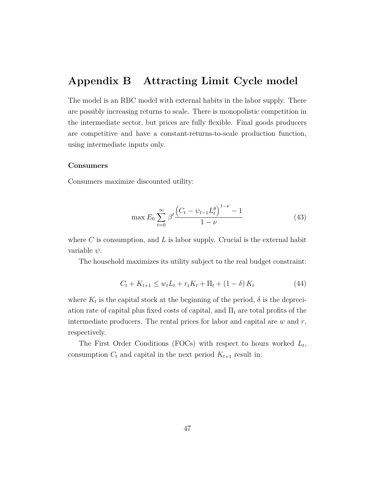## **Appendix B Attracting Limit Cycle model**

The model is an RBC model with external habits in the labor supply. There are possibly increasing returns to scale. There is monopolistic competition in the intermediate sector, but prices are fully flexible. Final goods producers are competitive and have a constant-returns-to-scale production function, using intermediate inputs only.

#### **Consumers**

Consumers maximize discounted utility:

$$
\max E_0 \sum_{t=0}^{\infty} \beta^t \frac{\left(C_t - \psi_{t-1} L_t^{\theta}\right)^{1-\nu} - 1}{1-\nu} \tag{43}
$$

where *C* is consumption, and *L* is labor supply. Crucial is the external habit variable *ψ*.

The household maximizes its utility subject to the real budget constraint:

$$
C_t + K_{t+1} \le w_t L_t + r_t K_t + \Pi_t + (1 - \delta) K_t \tag{44}
$$

where  $K_t$  is the capital stock at the beginning of the period,  $\delta$  is the depreciation rate of capital plus fixed costs of capital, and Π*<sup>t</sup>* are total profits of the intermediate producers. The rental prices for labor and capital are *w* and *r*, respectively.

The First Order Conditions (FOCs) with respect to hours worked *L<sup>t</sup>* , consumption  $C_t$  and capital in the next period  $K_{t+1}$  result in: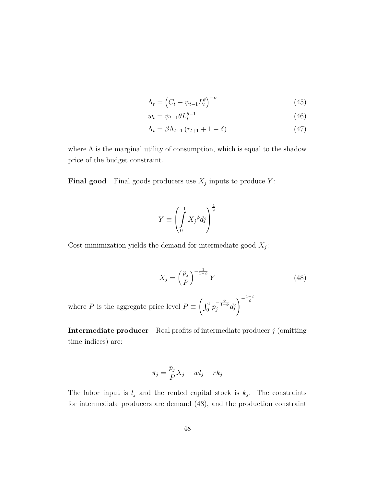$$
\Lambda_t = \left( C_t - \psi_{t-1} L_t^{\theta} \right)^{-\nu} \tag{45}
$$

$$
w_t = \psi_{t-1} \theta L_t^{\theta - 1} \tag{46}
$$

$$
\Lambda_t = \beta \Lambda_{t+1} \left( r_{t+1} + 1 - \delta \right) \tag{47}
$$

where  $\Lambda$  is the marginal utility of consumption, which is equal to the shadow price of the budget constraint.

**Final good** Final goods producers use  $X_j$  inputs to produce  $Y$ :

$$
Y \equiv \left(\int\limits_0^1 X_j^{\phi} dj\right)^{\frac{1}{\phi}}
$$

Cost minimization yields the demand for intermediate good  $X_j$ :

$$
X_j = \left(\frac{p_j}{P}\right)^{-\frac{1}{1-\phi}} Y \tag{48}
$$

where *P* is the aggregate price level  $P \equiv$  $\int_0^1 p_j^{-\frac{\phi}{1-\phi}}$  $\int_{j}^{-\frac{\phi}{1-\phi}}dj$ <sup>- $\frac{1-\phi}{\phi}$ </sup>

**Intermediate producer** Real profits of intermediate producer *j* (omitting time indices) are:

$$
\pi_j = \frac{p_j}{P} X_j - w l_j - r k_j
$$

The labor input is  $l_j$  and the rented capital stock is  $k_j$ . The constraints for intermediate producers are demand (48), and the production constraint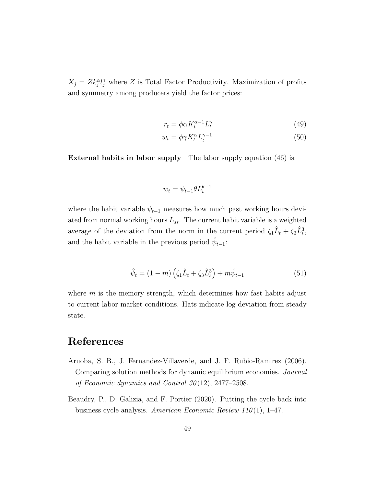$X_j = Z k_j^{\alpha} l_j^{\gamma}$  where *Z* is Total Factor Productivity. Maximization of profits and symmetry among producers yield the factor prices:

$$
r_t = \phi \alpha K_t^{\alpha - 1} L_t^{\gamma} \tag{49}
$$

$$
w_t = \phi \gamma K_t^{\alpha} L_t^{\gamma - 1} \tag{50}
$$

**External habits in labor supply** The labor supply equation (46) is:

$$
w_t = \psi_{t-1} \theta L_t^{\theta - 1}
$$

where the habit variable  $\psi_{t-1}$  measures how much past working hours deviated from normal working hours *Lss*. The current habit variable is a weighted average of the deviation from the norm in the current period  $\zeta_1 \hat{L}_t + \zeta_3 \hat{L}_t^3$ , and the habit variable in the previous period  $\hat{\psi}_{t-1}$ :

$$
\hat{\psi}_t = (1 - m) \left( \zeta_1 \hat{L}_t + \zeta_3 \hat{L}_t^3 \right) + m \hat{\psi}_{t-1} \tag{51}
$$

where *m* is the memory strength, which determines how fast habits adjust to current labor market conditions. Hats indicate log deviation from steady state.

# **References**

- Aruoba, S. B., J. Fernandez-Villaverde, and J. F. Rubio-Ramirez (2006). Comparing solution methods for dynamic equilibrium economies. *Journal of Economic dynamics and Control 30* (12), 2477–2508.
- Beaudry, P., D. Galizia, and F. Portier (2020). Putting the cycle back into business cycle analysis. *American Economic Review 110* (1), 1–47.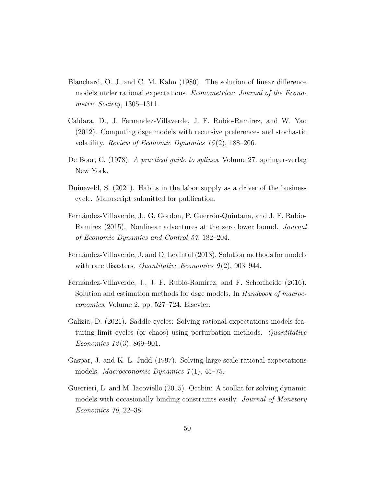- Blanchard, O. J. and C. M. Kahn (1980). The solution of linear difference models under rational expectations. *Econometrica: Journal of the Econometric Society*, 1305–1311.
- Caldara, D., J. Fernandez-Villaverde, J. F. Rubio-Ramirez, and W. Yao (2012). Computing dsge models with recursive preferences and stochastic volatility. *Review of Economic Dynamics 15* (2), 188–206.
- De Boor, C. (1978). *A practical guide to splines*, Volume 27. springer-verlag New York.
- Duineveld, S. (2021). Habits in the labor supply as a driver of the business cycle. Manuscript submitted for publication.
- Fernández-Villaverde, J., G. Gordon, P. Guerrón-Quintana, and J. F. Rubio-Ramirez (2015). Nonlinear adventures at the zero lower bound. *Journal of Economic Dynamics and Control 57*, 182–204.
- Fernández-Villaverde, J. and O. Levintal (2018). Solution methods for models with rare disasters. *Quantitative Economics 9* (2), 903–944.
- Fernández-Villaverde, J., J. F. Rubio-Ramírez, and F. Schorfheide (2016). Solution and estimation methods for dsge models. In *Handbook of macroeconomics*, Volume 2, pp. 527–724. Elsevier.
- Galizia, D. (2021). Saddle cycles: Solving rational expectations models featuring limit cycles (or chaos) using perturbation methods. *Quantitative Economics 12* (3), 869–901.
- Gaspar, J. and K. L. Judd (1997). Solving large-scale rational-expectations models. *Macroeconomic Dynamics 1* (1), 45–75.
- Guerrieri, L. and M. Iacoviello (2015). Occbin: A toolkit for solving dynamic models with occasionally binding constraints easily. *Journal of Monetary Economics 70*, 22–38.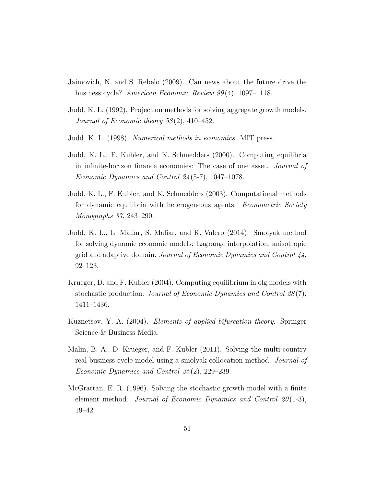- Jaimovich, N. and S. Rebelo (2009). Can news about the future drive the business cycle? *American Economic Review 99* (4), 1097–1118.
- Judd, K. L. (1992). Projection methods for solving aggregate growth models. *Journal of Economic theory 58* (2), 410–452.
- Judd, K. L. (1998). *Numerical methods in economics*. MIT press.
- Judd, K. L., F. Kubler, and K. Schmedders (2000). Computing equilibria in infinite-horizon finance economies: The case of one asset. *Journal of Economic Dynamics and Control 24* (5-7), 1047–1078.
- Judd, K. L., F. Kubler, and K. Schmedders (2003). Computational methods for dynamic equilibria with heterogeneous agents. *Econometric Society Monographs 37*, 243–290.
- Judd, K. L., L. Maliar, S. Maliar, and R. Valero (2014). Smolyak method for solving dynamic economic models: Lagrange interpolation, anisotropic grid and adaptive domain. *Journal of Economic Dynamics and Control 44*, 92–123.
- Krueger, D. and F. Kubler (2004). Computing equilibrium in olg models with stochastic production. *Journal of Economic Dynamics and Control 28* (7), 1411–1436.
- Kuznetsov, Y. A. (2004). *Elements of applied bifurcation theory*. Springer Science & Business Media.
- Malin, B. A., D. Krueger, and F. Kubler (2011). Solving the multi-country real business cycle model using a smolyak-collocation method. *Journal of Economic Dynamics and Control 35* (2), 229–239.
- McGrattan, E. R. (1996). Solving the stochastic growth model with a finite element method. *Journal of Economic Dynamics and Control 20* (1-3), 19–42.